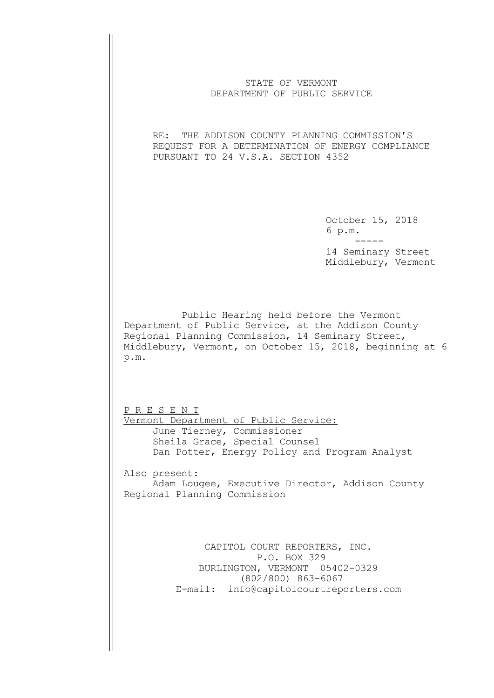| STATE OF VERMONT<br>DEPARTMENT OF PUBLIC SERVICE                                                                                                                                                                                               |                                           |
|------------------------------------------------------------------------------------------------------------------------------------------------------------------------------------------------------------------------------------------------|-------------------------------------------|
| RE: THE ADDISON COUNTY PLANNING COMMISSION'S<br>REQUEST FOR A DETERMINATION OF ENERGY COMPLIANCE<br>PURSUANT TO 24 V.S.A. SECTION 4352                                                                                                         |                                           |
|                                                                                                                                                                                                                                                | October 15, 2018<br>6 p.m.                |
|                                                                                                                                                                                                                                                | 14 Seminary Street<br>Middlebury, Vermont |
| Public Hearing held before the Vermont<br>Department of Public Service, at the Addison County<br>Regional Planning Commission, 14 Seminary Street,<br>Middlebury, Vermont, on October 15, 2018, beginning at 6<br>p.m.<br><u>P R E S E N T</u> |                                           |
| Vermont Department of Public Service:<br>June Tierney, Commissioner<br>Sheila Grace, Special Counsel<br>Dan Potter, Energy Policy and Program Analyst                                                                                          |                                           |
| Also present:<br>Adam Lougee, Executive Director, Addison County<br>Regional Planning Commission                                                                                                                                               |                                           |
| CAPITOL COURT REPORTERS, INC.<br>P.O. BOX 329<br>BURLINGTON, VERMONT 05402-0329<br>$(802/800)$ 863-6067<br>E-mail: info@capitolcourtreporters.com                                                                                              |                                           |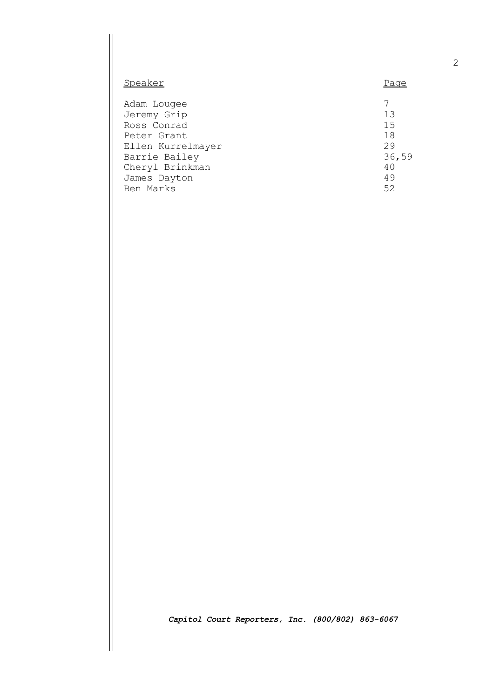| Speaker           | Page  |
|-------------------|-------|
| Adam Lougee       | 7     |
| Jeremy Grip       | 13    |
| Ross Conrad       | 1.5   |
| Peter Grant       | 18    |
| Ellen Kurrelmayer | 29    |
| Barrie Bailey     | 36,59 |
| Cheryl Brinkman   | 40    |
| James Dayton      | 49    |
| Ben Marks         | 52    |

*Capitol Court Reporters, Inc. (800/802) 863-6067*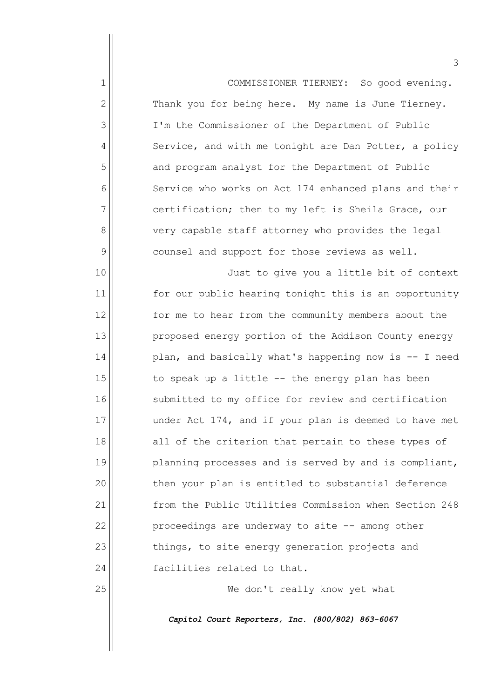| $\mathbf{1}$ | COMMISSIONER TIERNEY: So good evening.                |
|--------------|-------------------------------------------------------|
| 2            | Thank you for being here. My name is June Tierney.    |
| 3            | I'm the Commissioner of the Department of Public      |
| 4            | Service, and with me tonight are Dan Potter, a policy |
| 5            | and program analyst for the Department of Public      |
| 6            | Service who works on Act 174 enhanced plans and their |
| 7            | certification; then to my left is Sheila Grace, our   |
| 8            | very capable staff attorney who provides the legal    |
| 9            | counsel and support for those reviews as well.        |
| 10           | Just to give you a little bit of context              |
| 11           | for our public hearing tonight this is an opportunity |
| 12           | for me to hear from the community members about the   |
| 13           | proposed energy portion of the Addison County energy  |
| 14           | plan, and basically what's happening now is -- I need |
| 15           | to speak up a little -- the energy plan has been      |
| 16           | submitted to my office for review and certification   |
| 17           | under Act 174, and if your plan is deemed to have met |
| 18           | all of the criterion that pertain to these types of   |
| 19           | planning processes and is served by and is compliant, |
| 20           | then your plan is entitled to substantial deference   |
| 21           | from the Public Utilities Commission when Section 248 |
| 22           | proceedings are underway to site -- among other       |
| 23           | things, to site energy generation projects and        |
| 24           | facilities related to that.                           |
| 25           | We don't really know yet what                         |

*Capitol Court Reporters, Inc. (800/802) 863-6067*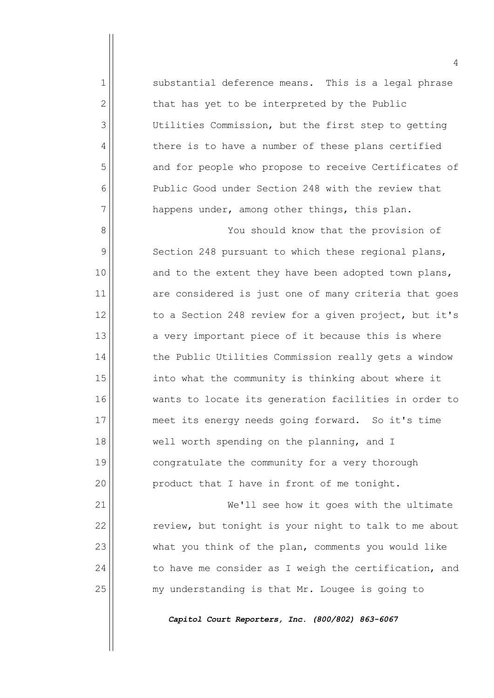1 Substantial deference means. This is a legal phrase  $2 \parallel$  that has yet to be interpreted by the Public 3 Utilities Commission, but the first step to getting 4 there is to have a number of these plans certified 5 and for people who propose to receive Certificates of 6 Public Good under Section 248 with the review that  $7$  happens under, among other things, this plan.

8 | You should know that the provision of 9 Section 248 pursuant to which these regional plans,  $10$  and to the extent they have been adopted town plans, 11 are considered is just one of many criteria that goes  $12$  to a Section 248 review for a given project, but it's  $13$  a very important piece of it because this is where 14 | the Public Utilities Commission really gets a window 15 | into what the community is thinking about where it 16 wants to locate its generation facilities in order to 17 meet its energy needs going forward. So it's time 18 well worth spending on the planning, and I 19 || congratulate the community for a very thorough 20 || product that I have in front of me tonight.

21 | We'll see how it goes with the ultimate  $22$  review, but tonight is your night to talk to me about 23 what you think of the plan, comments you would like  $24$  to have me consider as I weigh the certification, and 25 | my understanding is that Mr. Lougee is going to

*Capitol Court Reporters, Inc. (800/802) 863-6067*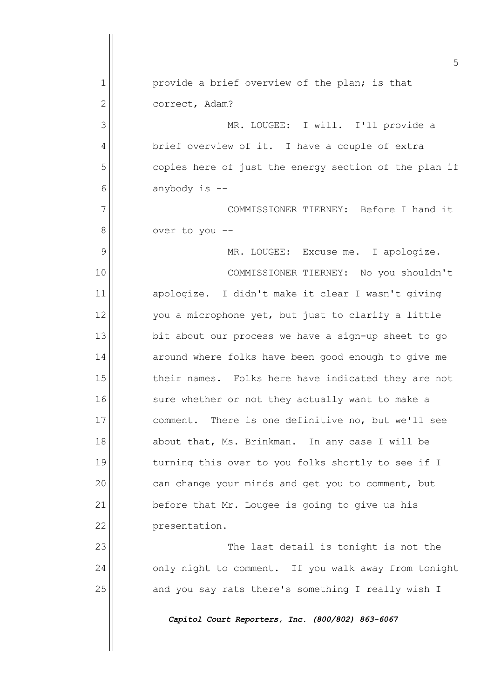5 1 provide a brief overview of the plan; is that 2 | correct, Adam? 3 MR. LOUGEE: I will. I'll provide a 4 | brief overview of it. I have a couple of extra 5 | copies here of just the energy section of the plan if  $6 \parallel$  anybody is  $-$ 7 COMMISSIONER TIERNEY: Before I hand it  $8$  |  $\sqrt{8}$  over to you --9 | MR. LOUGEE: Excuse me. I apologize. 10 COMMISSIONER TIERNEY: No you shouldn't 11 || apologize. I didn't make it clear I wasn't giving  $12$  you a microphone yet, but just to clarify a little  $13$  bit about our process we have a sign-up sheet to go  $14$  around where folks have been good enough to give me 15 their names. Folks here have indicated they are not 16 || sure whether or not they actually want to make a 17 comment. There is one definitive no, but we'll see 18 about that, Ms. Brinkman. In any case I will be 19 turning this over to you folks shortly to see if I  $20$  can change your minds and get you to comment, but  $21$  before that Mr. Lougee is going to give us his 22 | presentation. 23 The last detail is tonight is not the  $24$  only night to comment. If you walk away from tonight 25 and you say rats there's something I really wish I *Capitol Court Reporters, Inc. (800/802) 863-6067*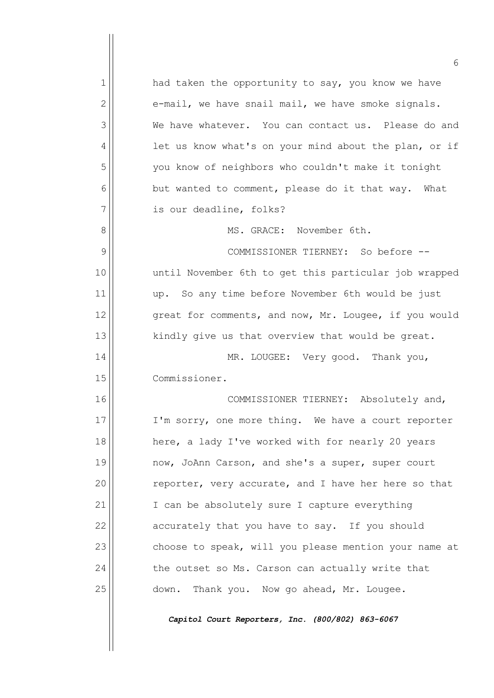|              | 6                                                     |
|--------------|-------------------------------------------------------|
| $\mathbf{1}$ | had taken the opportunity to say, you know we have    |
| 2            | e-mail, we have snail mail, we have smoke signals.    |
| 3            | We have whatever. You can contact us. Please do and   |
| 4            | let us know what's on your mind about the plan, or if |
| 5            | you know of neighbors who couldn't make it tonight    |
| 6            | but wanted to comment, please do it that way.<br>What |
| 7            | is our deadline, folks?                               |
| 8            | MS. GRACE: November 6th.                              |
| 9            | COMMISSIONER TIERNEY: So before --                    |
| 10           | until November 6th to get this particular job wrapped |
| 11           | up. So any time before November 6th would be just     |
| 12           | great for comments, and now, Mr. Lougee, if you would |
| 13           | kindly give us that overview that would be great.     |
| 14           | MR. LOUGEE: Very good. Thank you,                     |
| 15           | Commissioner.                                         |
| 16           | COMMISSIONER TIERNEY:<br>Absolutely and,              |
| 17           | I'm sorry, one more thing. We have a court reporter   |
| 18           | here, a lady I've worked with for nearly 20 years     |
| 19           | now, JoAnn Carson, and she's a super, super court     |
| 20           | reporter, very accurate, and I have her here so that  |
| 21           | I can be absolutely sure I capture everything         |
| 22           | accurately that you have to say. If you should        |
| 23           | choose to speak, will you please mention your name at |
| 24           | the outset so Ms. Carson can actually write that      |
| 25           | down. Thank you. Now go ahead, Mr. Lougee.            |
|              | Capitol Court Reporters, Inc. (800/802) 863-6067      |
|              |                                                       |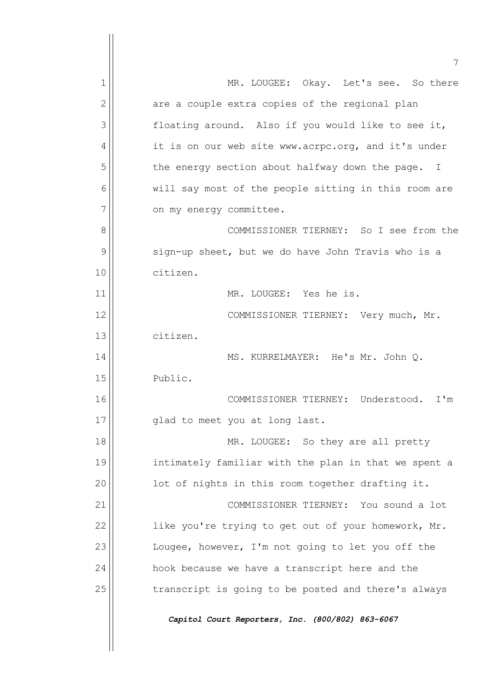|    | 7                                                               |
|----|-----------------------------------------------------------------|
| 1  | MR. LOUGEE: Okay. Let's see. So there                           |
| 2  | are a couple extra copies of the regional plan                  |
| 3  | floating around. Also if you would like to see it,              |
| 4  | it is on our web site www.acrpc.org, and it's under             |
| 5  | the energy section about halfway down the page.<br>$\mathbf{I}$ |
| 6  | will say most of the people sitting in this room are            |
| 7  | on my energy committee.                                         |
| 8  | COMMISSIONER TIERNEY: So I see from the                         |
| 9  | sign-up sheet, but we do have John Travis who is a              |
| 10 | citizen.                                                        |
| 11 | MR. LOUGEE: Yes he is.                                          |
| 12 | COMMISSIONER TIERNEY: Very much, Mr.                            |
| 13 | citizen.                                                        |
| 14 | MS. KURRELMAYER: He's Mr. John Q.                               |
| 15 | Public.                                                         |
| 16 | COMMISSIONER TIERNEY: Understood.<br>I'm                        |
| 17 | glad to meet you at long last.                                  |
| 18 | MR. LOUGEE: So they are all pretty                              |
| 19 | intimately familiar with the plan in that we spent a            |
| 20 | lot of nights in this room together drafting it.                |
| 21 | COMMISSIONER TIERNEY: You sound a lot                           |
| 22 | like you're trying to get out of your homework, Mr.             |
| 23 | Lougee, however, I'm not going to let you off the               |
| 24 | hook because we have a transcript here and the                  |
| 25 | transcript is going to be posted and there's always             |
|    | Capitol Court Reporters, Inc. (800/802) 863-6067                |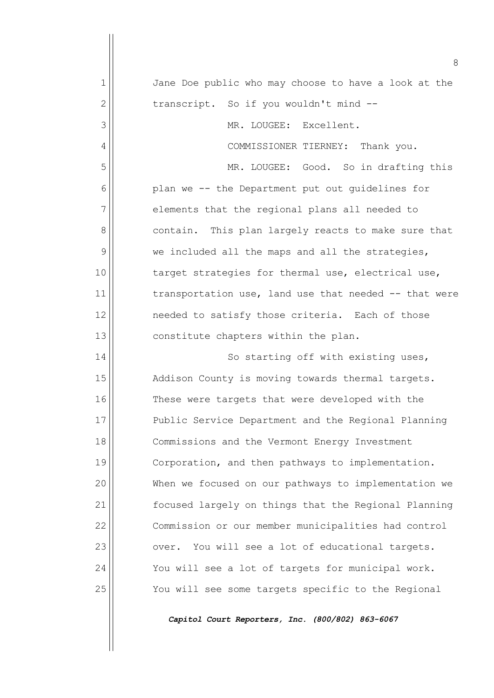|              | 8                                                     |
|--------------|-------------------------------------------------------|
| $\mathbf{1}$ | Jane Doe public who may choose to have a look at the  |
| $\mathbf{2}$ | transcript. So if you wouldn't mind --                |
| 3            | MR. LOUGEE: Excellent.                                |
| 4            | COMMISSIONER TIERNEY: Thank you.                      |
| 5            | MR. LOUGEE: Good. So in drafting this                 |
| 6            | plan we -- the Department put out guidelines for      |
| 7            | elements that the regional plans all needed to        |
| 8            | contain. This plan largely reacts to make sure that   |
| 9            | we included all the maps and all the strategies,      |
| 10           | target strategies for thermal use, electrical use,    |
| 11           | transportation use, land use that needed -- that were |
| 12           | needed to satisfy those criteria. Each of those       |
| 13           | constitute chapters within the plan.                  |
| 14           | So starting off with existing uses,                   |
| 15           | Addison County is moving towards thermal targets.     |
| 16           | These were targets that were developed with the       |
| 17           | Public Service Department and the Regional Planning   |
| 18           | Commissions and the Vermont Energy Investment         |
| 19           | Corporation, and then pathways to implementation.     |
| 20           | When we focused on our pathways to implementation we  |
| 21           | focused largely on things that the Regional Planning  |
| 22           | Commission or our member municipalities had control   |
| 23           | You will see a lot of educational targets.<br>over.   |
| 24           | You will see a lot of targets for municipal work.     |
| 25           | You will see some targets specific to the Regional    |
|              |                                                       |

*Capitol Court Reporters, Inc. (800/802) 863-6067*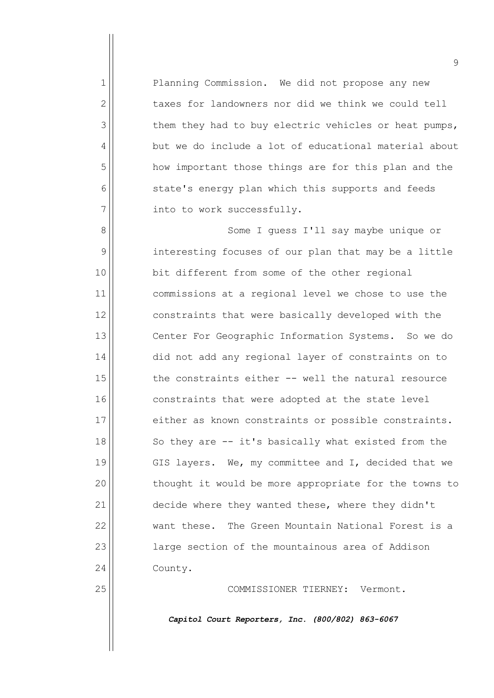1 Planning Commission. We did not propose any new  $2$  taxes for landowners nor did we think we could tell 3 them they had to buy electric vehicles or heat pumps, 4 but we do include a lot of educational material about 5 how important those things are for this plan and the  $6$  state's energy plan which this supports and feeds  $7$  | into to work successfully.

8 | Some I guess I'll say maybe unique or 9 | interesting focuses of our plan that may be a little 10 **bit different from some of the other regional** 11 commissions at a regional level we chose to use the 12 constraints that were basically developed with the 13 Center For Geographic Information Systems. So we do 14 did not add any regional layer of constraints on to 15 the constraints either -- well the natural resource 16 constraints that were adopted at the state level 17 either as known constraints or possible constraints.  $18$  So they are  $-$  it's basically what existed from the 19 || GIS layers. We, my committee and I, decided that we  $20$  thought it would be more appropriate for the towns to 21 decide where they wanted these, where they didn't 22 want these. The Green Mountain National Forest is a 23 | large section of the mountainous area of Addison 24 | County.

25 COMMISSIONER TIERNEY: Vermont.

*Capitol Court Reporters, Inc. (800/802) 863-6067*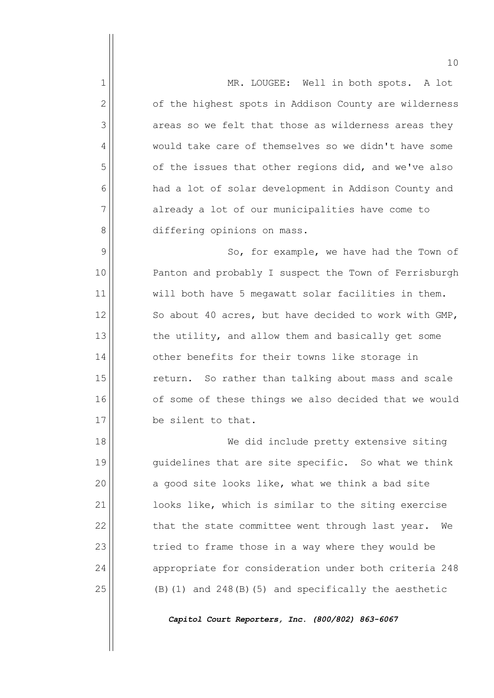1 | MR. LOUGEE: Well in both spots. A lot  $2$  of the highest spots in Addison County are wilderness  $3$  areas so we felt that those as wilderness areas they 4 Would take care of themselves so we didn't have some 5 | of the issues that other regions did, and we've also 6 | had a lot of solar development in Addison County and  $7$  already a lot of our municipalities have come to 8 differing opinions on mass. 9 | So, for example, we have had the Town of

10 || Panton and probably I suspect the Town of Ferrisburgh 11 will both have 5 megawatt solar facilities in them.  $12$  So about 40 acres, but have decided to work with GMP,  $13$  the utility, and allow them and basically get some 14 | other benefits for their towns like storage in 15 return. So rather than talking about mass and scale 16 || of some of these things we also decided that we would 17 be silent to that.

18 We did include pretty extensive siting 19 quidelines that are site specific. So what we think  $20$  a good site looks like, what we think a bad site 21 | looks like, which is similar to the siting exercise  $22$  that the state committee went through last year. We  $23$  tried to frame those in a way where they would be 24 appropriate for consideration under both criteria 248  $25$  (B)(1) and  $248(B)(5)$  and specifically the aesthetic

*Capitol Court Reporters, Inc. (800/802) 863-6067*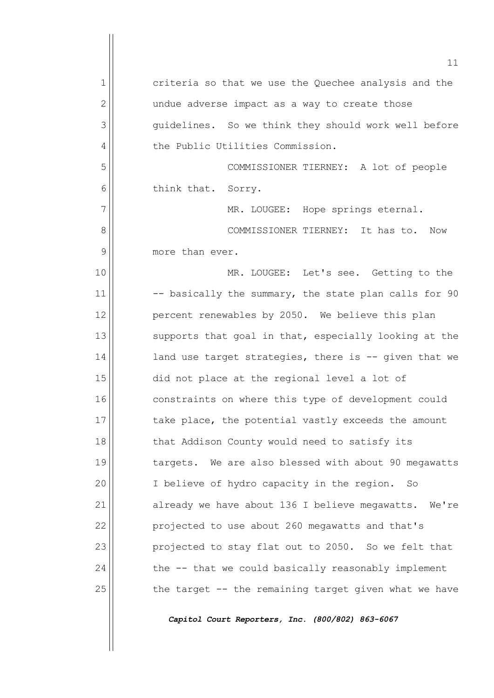11 1 criteria so that we use the Quechee analysis and the  $2$  |  $\vert$  undue adverse impact as a way to create those 3 guidelines. So we think they should work well before 4 | the Public Utilities Commission. 5 COMMISSIONER TIERNEY: A lot of people 6 || think that. Sorry. 7 | MR. LOUGEE: Hope springs eternal. 8 | COMMISSIONER TIERNEY: It has to. Now  $9$  more than ever. 10 | MR. LOUGEE: Let's see. Getting to the  $11$   $\vert$  -- basically the summary, the state plan calls for 90 12 | percent renewables by 2050. We believe this plan  $13$  supports that goal in that, especially looking at the  $14$  and use target strategies, there is  $-$  given that we  $15$  did not place at the regional level a lot of 16 constraints on where this type of development could 17 take place, the potential vastly exceeds the amount 18 || that Addison County would need to satisfy its 19 || targets. We are also blessed with about 90 megawatts 20 | T believe of hydro capacity in the region. So  $21$  already we have about 136 I believe megawatts. We're 22 **projected to use about 260 megawatts and that's**  $23$  projected to stay flat out to 2050. So we felt that  $24$  the  $-$  that we could basically reasonably implement  $25$  the target -- the remaining target given what we have

*Capitol Court Reporters, Inc. (800/802) 863-6067*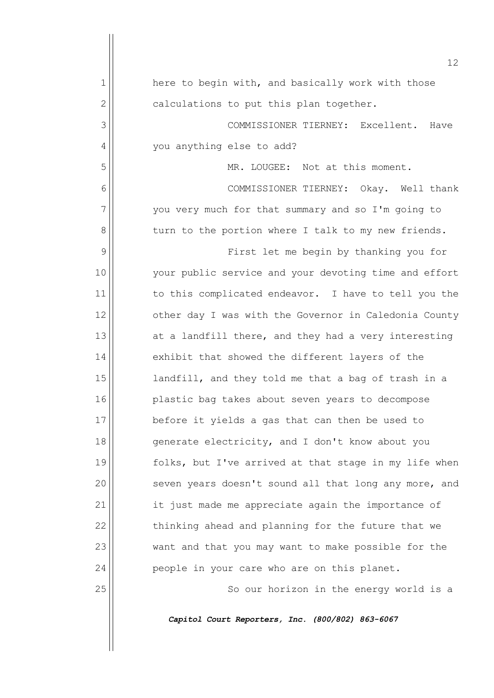|                | 12 <sup>°</sup>                                       |
|----------------|-------------------------------------------------------|
| 1              | here to begin with, and basically work with those     |
| $\overline{2}$ | calculations to put this plan together.               |
| 3              | COMMISSIONER TIERNEY: Excellent.<br>Have              |
| 4              | you anything else to add?                             |
| 5              | MR. LOUGEE: Not at this moment.                       |
| 6              | COMMISSIONER TIERNEY: Okay. Well thank                |
| 7              | you very much for that summary and so I'm going to    |
| 8              | turn to the portion where I talk to my new friends.   |
| 9              | First let me begin by thanking you for                |
| 10             | your public service and your devoting time and effort |
| 11             | to this complicated endeavor. I have to tell you the  |
| 12             | other day I was with the Governor in Caledonia County |
| 13             | at a landfill there, and they had a very interesting  |
| 14             | exhibit that showed the different layers of the       |
| 15             | landfill, and they told me that a bag of trash in a   |
| 16             | plastic bag takes about seven years to decompose      |
| 17             | before it yields a gas that can then be used to       |
| 18             | generate electricity, and I don't know about you      |
| 19             | folks, but I've arrived at that stage in my life when |
| 20             | seven years doesn't sound all that long any more, and |
| 21             | it just made me appreciate again the importance of    |
| 22             | thinking ahead and planning for the future that we    |
| 23             | want and that you may want to make possible for the   |
| 24             | people in your care who are on this planet.           |
| 25             | So our horizon in the energy world is a               |
|                | Capitol Court Reporters, Inc. (800/802) 863-6067      |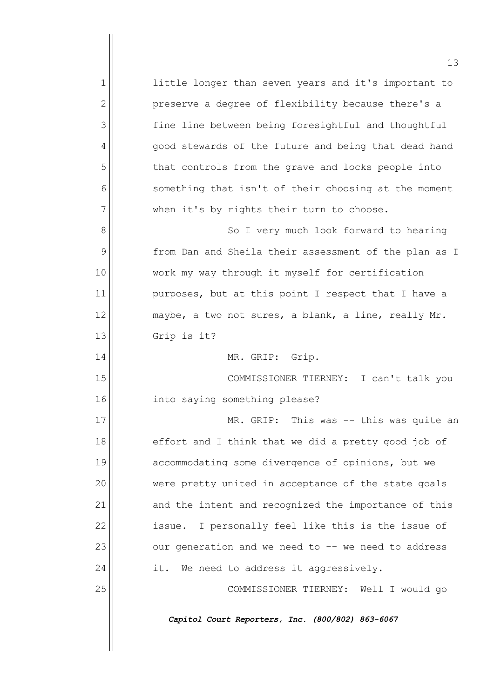1 1 little longer than seven years and it's important to  $2$  | preserve a degree of flexibility because there's a 3 | fine line between being foresightful and thoughtful 4 | qood stewards of the future and being that dead hand 5 | that controls from the grave and locks people into  $6$  something that isn't of their choosing at the moment  $7$  when it's by rights their turn to choose. 8 | So I very much look forward to hearing 9 | from Dan and Sheila their assessment of the plan as I 10 work my way through it myself for certification  $11$  purposes, but at this point I respect that I have a 12  $\parallel$  maybe, a two not sures, a blank, a line, really Mr.  $13$  Grip is it? 14 || MR. GRIP: Grip. 15 COMMISSIONER TIERNEY: I can't talk you 16 into saying something please? 17 MR. GRIP: This was -- this was quite an  $18$  effort and I think that we did a pretty good job of 19 accommodating some divergence of opinions, but we 20 | were pretty united in acceptance of the state goals 21 and the intent and recognized the importance of this 22 | issue. I personally feel like this is the issue of  $23$  our generation and we need to  $-$  we need to address  $24$  it. We need to address it aggressively. 25 COMMISSIONER TIERNEY: Well I would go *Capitol Court Reporters, Inc. (800/802) 863-6067*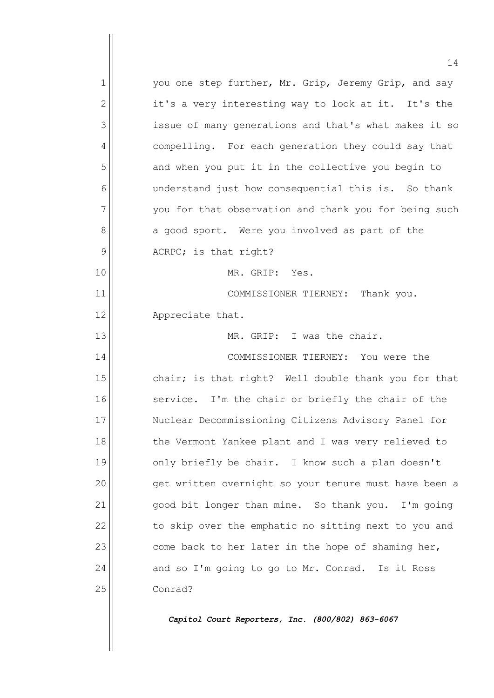$1$  you one step further, Mr. Grip, Jeremy Grip, and say  $2 \parallel$  it's a very interesting way to look at it. It's the 3 issue of many generations and that's what makes it so 4 compelling. For each generation they could say that 5 and when you put it in the collective you begin to 6 || understand just how consequential this is. So thank  $7$  you for that observation and thank you for being such 8 a good sport. Were you involved as part of the  $9$  ACRPC; is that right? 10 MR. GRIP: Yes. 11 | COMMISSIONER TIERNEY: Thank you. 12 || Appreciate that. 13 MR. GRIP: I was the chair. 14 || COMMISSIONER TIERNEY: You were the 15  $\vert$  chair; is that right? Well double thank you for that 16 || service. I'm the chair or briefly the chair of the 17 || Nuclear Decommissioning Citizens Advisory Panel for 18 || the Vermont Yankee plant and I was very relieved to 19 || only briefly be chair. I know such a plan doesn't 20 || qet written overnight so your tenure must have been a  $21$  good bit longer than mine. So thank you. I'm going 22  $\vert$  to skip over the emphatic no sitting next to you and  $23$  come back to her later in the hope of shaming her,  $24$  and so I'm going to go to Mr. Conrad. Is it Ross 25 Conrad?

*Capitol Court Reporters, Inc. (800/802) 863-6067*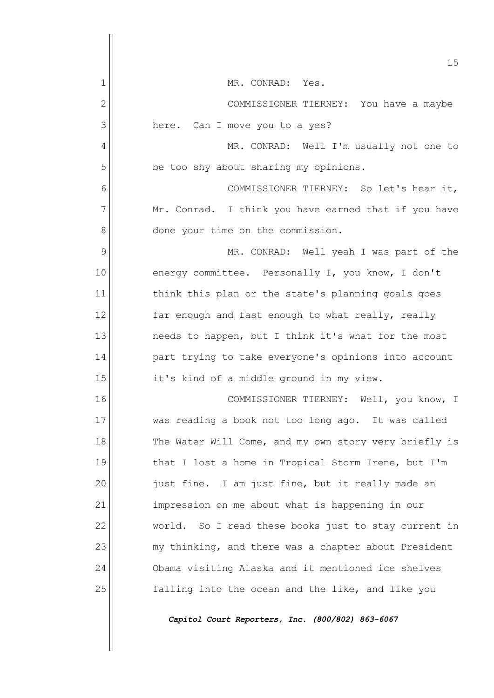|              | 15                                                    |
|--------------|-------------------------------------------------------|
| 1            | MR. CONRAD: Yes.                                      |
| $\mathbf{2}$ | COMMISSIONER TIERNEY: You have a maybe                |
| 3            | here. Can I move you to a yes?                        |
| 4            | MR. CONRAD: Well I'm usually not one to               |
| 5            | be too shy about sharing my opinions.                 |
| 6            | COMMISSIONER TIERNEY: So let's hear it,               |
| 7            | Mr. Conrad. I think you have earned that if you have  |
| 8            | done your time on the commission.                     |
| 9            | MR. CONRAD: Well yeah I was part of the               |
| 10           | energy committee. Personally I, you know, I don't     |
| 11           | think this plan or the state's planning goals goes    |
| 12           | far enough and fast enough to what really, really     |
| 13           | needs to happen, but I think it's what for the most   |
| 14           | part trying to take everyone's opinions into account  |
| 15           | it's kind of a middle ground in my view.              |
| 16           | COMMISSIONER TIERNEY: Well, you know, I               |
| 17           | was reading a book not too long ago. It was called    |
| 18           | The Water Will Come, and my own story very briefly is |
| 19           | that I lost a home in Tropical Storm Irene, but I'm   |
| 20           | just fine. I am just fine, but it really made an      |
| 21           | impression on me about what is happening in our       |
| 22           | world. So I read these books just to stay current in  |
| 23           | my thinking, and there was a chapter about President  |
| 24           | Obama visiting Alaska and it mentioned ice shelves    |
| 25           | falling into the ocean and the like, and like you     |
|              | Capitol Court Reporters, Inc. (800/802) 863-6067      |

 $\overline{\phantom{a}}$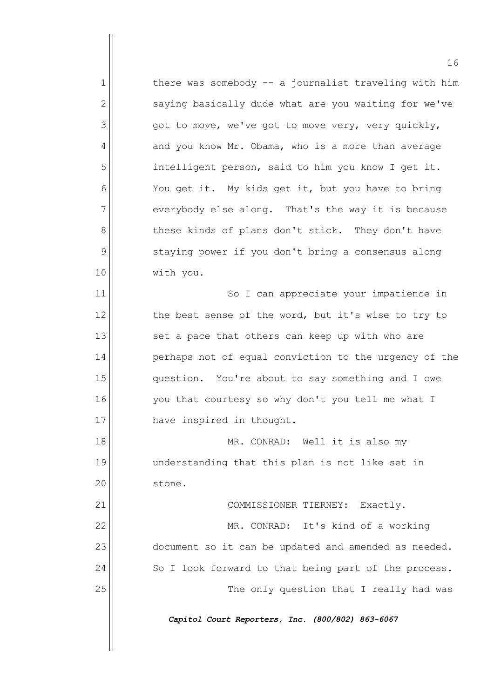$1$  there was somebody  $-$  a journalist traveling with him  $2$  saying basically dude what are you waiting for we've  $3$  got to move, we've got to move very, very quickly,  $4 \parallel$  and you know Mr. Obama, who is a more than average 5 | intelligent person, said to him you know I get it.  $6$  You get it. My kids get it, but you have to bring  $7$  everybody else along. That's the way it is because 8 | these kinds of plans don't stick. They don't have 9 | staying power if you don't bring a consensus along 10 with you. 11 || So I can appreciate your impatience in  $12$  the best sense of the word, but it's wise to try to  $13$  set a pace that others can keep up with who are

14 | perhaps not of equal conviction to the urgency of the 15 question. You're about to say something and I owe 16 || vou that courtesy so why don't you tell me what I 17 || have inspired in thought.

18 MR. CONRAD: Well it is also my 19 understanding that this plan is not like set in 20 | stone.

21 || COMMISSIONER TIERNEY: Exactly. 22 | MR. CONRAD: It's kind of a working 23  $\vert$  document so it can be updated and amended as needed.  $24$  So I look forward to that being part of the process. 25 The only question that I really had was

*Capitol Court Reporters, Inc. (800/802) 863-6067*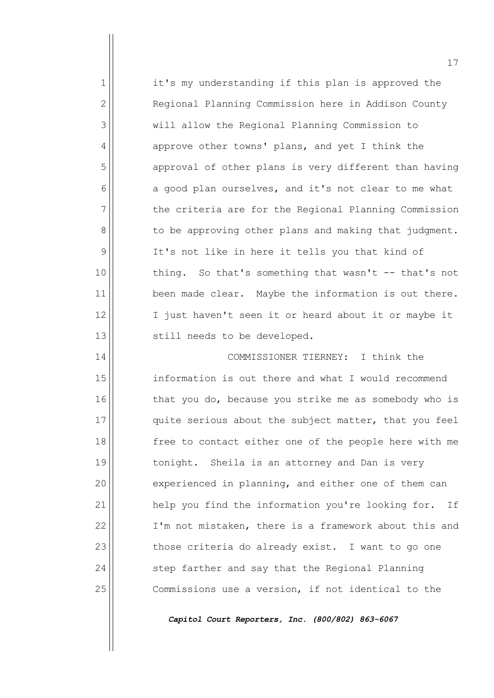$1$  it's my understanding if this plan is approved the 2 | Regional Planning Commission here in Addison County 3 will allow the Regional Planning Commission to  $4 \parallel$  approve other towns' plans, and yet I think the 5 | approval of other plans is very different than having  $6$  a good plan ourselves, and it's not clear to me what  $7$  the criteria are for the Regional Planning Commission 8 | bo be approving other plans and making that judgment.  $9$  It's not like in here it tells you that kind of 10 || thing. So that's something that wasn't -- that's not  $11$  been made clear. Maybe the information is out there. 12 || I just haven't seen it or heard about it or maybe it 13 || still needs to be developed.

14 COMMISSIONER TIERNEY: I think the 15 information is out there and what I would recommend 16 that you do, because you strike me as somebody who is 17 quite serious about the subject matter, that you feel 18 || free to contact either one of the people here with me 19 || tonight. Sheila is an attorney and Dan is very 20 experienced in planning, and either one of them can 21 | help you find the information you're looking for. If 22 | I'm not mistaken, there is a framework about this and  $23$  those criteria do already exist. I want to go one  $24$   $\vert$  step farther and say that the Regional Planning 25 | Commissions use a version, if not identical to the

*Capitol Court Reporters, Inc. (800/802) 863-6067*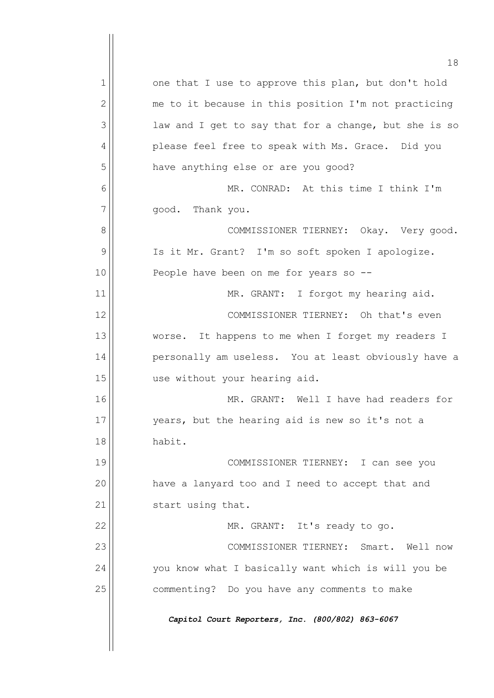18  $1$  one that I use to approve this plan, but don't hold  $2$  me to it because in this position I'm not practicing  $3$  aw and I get to say that for a change, but she is so 4 | please feel free to speak with Ms. Grace. Did you 5 | have anything else or are you good? 6 MR. CONRAD: At this time I think I'm  $7$   $\parallel$  good. Thank you. 8 | COMMISSIONER TIERNEY: Okay. Very good. 9 | Is it Mr. Grant? I'm so soft spoken I apologize. 10 || People have been on me for years so --11 | MR. GRANT: I forgot my hearing aid. 12 | COMMISSIONER TIERNEY: Oh that's even 13 worse. It happens to me when I forget my readers I 14 | personally am useless. You at least obviously have a 15 use without your hearing aid. 16 MR. GRANT: Well I have had readers for 17 || vears, but the hearing aid is new so it's not a 18 habit. 19 || COMMISSIONER TIERNEY: I can see you 20 | have a lanyard too and I need to accept that and 21 | start using that. 22 || MR. GRANT: It's ready to go. 23 || COMMISSIONER TIERNEY: Smart. Well now  $24$  you know what I basically want which is will you be 25 | commenting? Do you have any comments to make *Capitol Court Reporters, Inc. (800/802) 863-6067*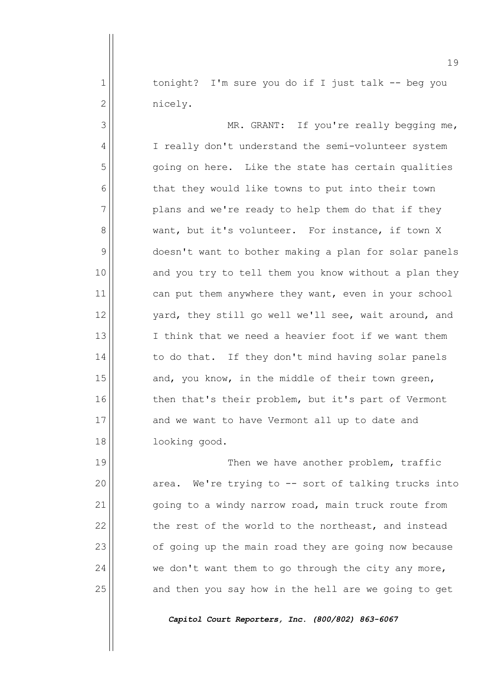$1$  tonight? I'm sure you do if I just talk -- beg you 2<sup>|</sup> nicely.

3 | MR. GRANT: If you're really begging me, 4 | I really don't understand the semi-volunteer system 5 | Going on here. Like the state has certain qualities  $6$  that they would like towns to put into their town  $7$  plans and we're ready to help them do that if they 8 want, but it's volunteer. For instance, if town X 9 doesn't want to bother making a plan for solar panels 10 and you try to tell them you know without a plan they 11 can put them anywhere they want, even in your school  $12$  | vard, they still go well we'll see, wait around, and 13 I I think that we need a heavier foot if we want them  $14$  to do that. If they don't mind having solar panels  $15$  and, you know, in the middle of their town green,  $16$  then that's their problem, but it's part of Vermont 17 and we want to have Vermont all up to date and 18 looking good.

19 || Then we have another problem, traffic 20 || area. We're trying to -- sort of talking trucks into 21 | going to a windy narrow road, main truck route from  $22$  the rest of the world to the northeast, and instead  $23$  of going up the main road they are going now because  $24$  we don't want them to go through the city any more,  $25$  and then you say how in the hell are we going to get

*Capitol Court Reporters, Inc. (800/802) 863-6067*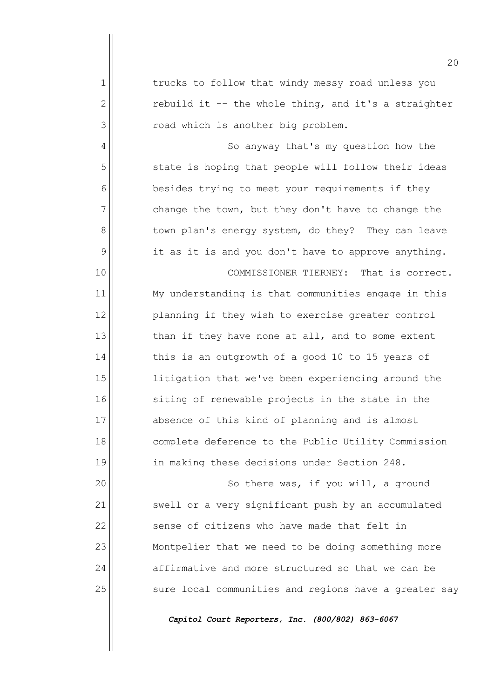|              | 20                                                    |
|--------------|-------------------------------------------------------|
| 1            | trucks to follow that windy messy road unless you     |
| $\mathbf{2}$ | rebuild it -- the whole thing, and it's a straighter  |
| 3            | road which is another big problem.                    |
| 4            | So anyway that's my question how the                  |
| 5            | state is hoping that people will follow their ideas   |
| 6            | besides trying to meet your requirements if they      |
| 7            | change the town, but they don't have to change the    |
| 8            | town plan's energy system, do they? They can leave    |
| 9            | it as it is and you don't have to approve anything.   |
| 10           | That is correct.<br>COMMISSIONER TIERNEY:             |
| 11           | My understanding is that communities engage in this   |
| 12           | planning if they wish to exercise greater control     |
| 13           | than if they have none at all, and to some extent     |
| 14           | this is an outgrowth of a good 10 to 15 years of      |
| 15           | litigation that we've been experiencing around the    |
| 16           | siting of renewable projects in the state in the      |
| 17           | absence of this kind of planning and is almost        |
| 18           | complete deference to the Public Utility Commission   |
| 19           | in making these decisions under Section 248.          |
| 20           | So there was, if you will, a ground                   |
| 21           | swell or a very significant push by an accumulated    |
| 22           | sense of citizens who have made that felt in          |
| 23           | Montpelier that we need to be doing something more    |
| 24           | affirmative and more structured so that we can be     |
| 25           | sure local communities and regions have a greater say |
|              | Capitol Court Reporters, Inc. (800/802) 863-6067      |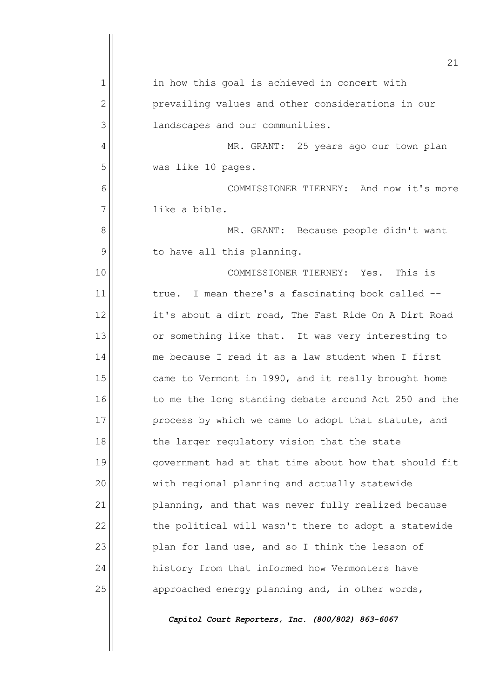|    | 21                                                    |
|----|-------------------------------------------------------|
| 1  | in how this goal is achieved in concert with          |
| 2  | prevailing values and other considerations in our     |
| 3  | landscapes and our communities.                       |
| 4  | MR. GRANT: 25 years ago our town plan                 |
| 5  | was like 10 pages.                                    |
| 6  | COMMISSIONER TIERNEY: And now it's more               |
| 7  | like a bible.                                         |
| 8  | MR. GRANT: Because people didn't want                 |
| 9  | to have all this planning.                            |
| 10 | COMMISSIONER TIERNEY: Yes. This is                    |
| 11 | I mean there's a fascinating book called --<br>true.  |
| 12 | it's about a dirt road, The Fast Ride On A Dirt Road  |
| 13 | or something like that. It was very interesting to    |
| 14 | me because I read it as a law student when I first    |
| 15 | came to Vermont in 1990, and it really brought home   |
| 16 | to me the long standing debate around Act 250 and the |
| 17 | process by which we came to adopt that statute, and   |
| 18 | the larger regulatory vision that the state           |
| 19 | government had at that time about how that should fit |
| 20 | with regional planning and actually statewide         |
| 21 | planning, and that was never fully realized because   |
| 22 | the political will wasn't there to adopt a statewide  |
| 23 | plan for land use, and so I think the lesson of       |
| 24 | history from that informed how Vermonters have        |
| 25 | approached energy planning and, in other words,       |
|    | Capitol Court Reporters, Inc. (800/802) 863-6067      |
|    |                                                       |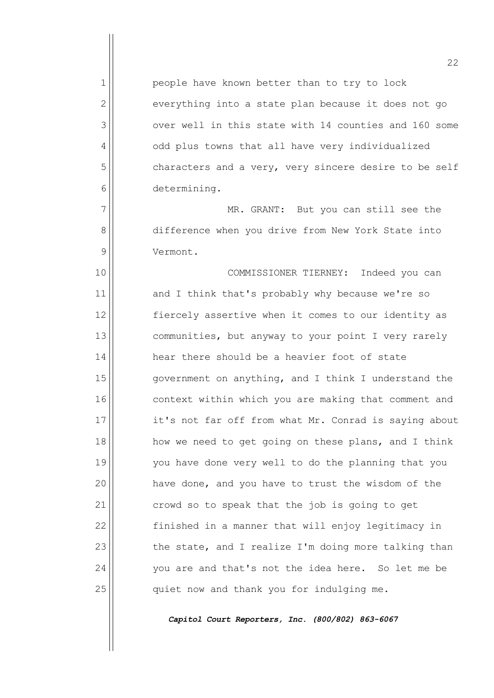$1$  people have known better than to try to lock  $2$  everything into a state plan because it does not go 3 over well in this state with 14 counties and 160 some 4 | odd plus towns that all have very individualized 5 | characters and a very, very sincere desire to be self 6 determining.

7 | MR. GRANT: But you can still see the 8 difference when you drive from New York State into 9 Vermont.

10 COMMISSIONER TIERNEY: Indeed you can 11 and I think that's probably why because we're so 12 || fiercely assertive when it comes to our identity as  $13$  communities, but anyway to your point I very rarely  $14$  hear there should be a heavier foot of state  $15$  government on anything, and I think I understand the 16 context within which you are making that comment and 17 it's not far off from what Mr. Conrad is saying about 18 || how we need to get going on these plans, and I think 19 you have done very well to do the planning that you  $20$  have done, and you have to trust the wisdom of the 21 crowd so to speak that the job is going to get 22 | finished in a manner that will enjoy legitimacy in  $23$  the state, and I realize I'm doing more talking than  $24$  you are and that's not the idea here. So let me be  $25$  quiet now and thank you for indulging me.

*Capitol Court Reporters, Inc. (800/802) 863-6067*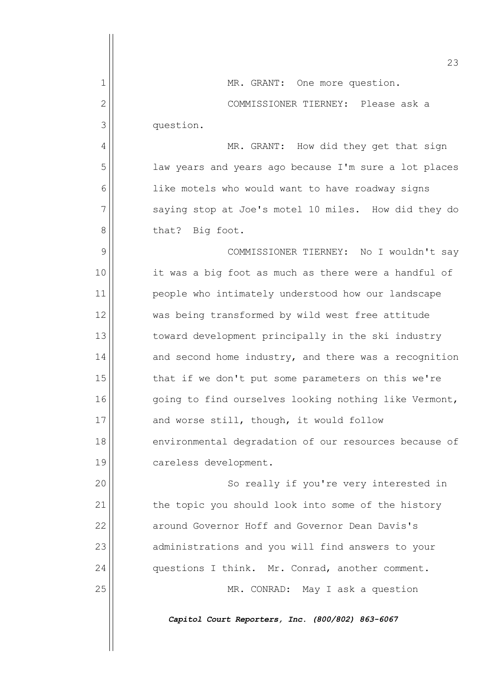|                | 23                                                    |
|----------------|-------------------------------------------------------|
| 1              | MR. GRANT: One more question.                         |
| $\overline{2}$ | COMMISSIONER TIERNEY: Please ask a                    |
| 3              | question.                                             |
| 4              | MR. GRANT: How did they get that sign                 |
| 5              | law years and years ago because I'm sure a lot places |
| 6              | like motels who would want to have roadway signs      |
| 7              | saying stop at Joe's motel 10 miles. How did they do  |
| 8              | that? Big foot.                                       |
| 9              | COMMISSIONER TIERNEY: No I wouldn't say               |
| 10             | it was a big foot as much as there were a handful of  |
| 11             | people who intimately understood how our landscape    |
| 12             | was being transformed by wild west free attitude      |
| 13             | toward development principally in the ski industry    |
| 14             | and second home industry, and there was a recognition |
| 15             | that if we don't put some parameters on this we're    |
| 16             | going to find ourselves looking nothing like Vermont, |
| 17             | and worse still, though, it would follow              |
| 18             | environmental degradation of our resources because of |
| 19             | careless development.                                 |
| 20             | So really if you're very interested in                |
| 21             | the topic you should look into some of the history    |
| 22             | around Governor Hoff and Governor Dean Davis's        |
| 23             | administrations and you will find answers to your     |
| 24             | questions I think. Mr. Conrad, another comment.       |
| 25             | MR. CONRAD: May I ask a question                      |
|                | Capitol Court Reporters, Inc. (800/802) 863-6067      |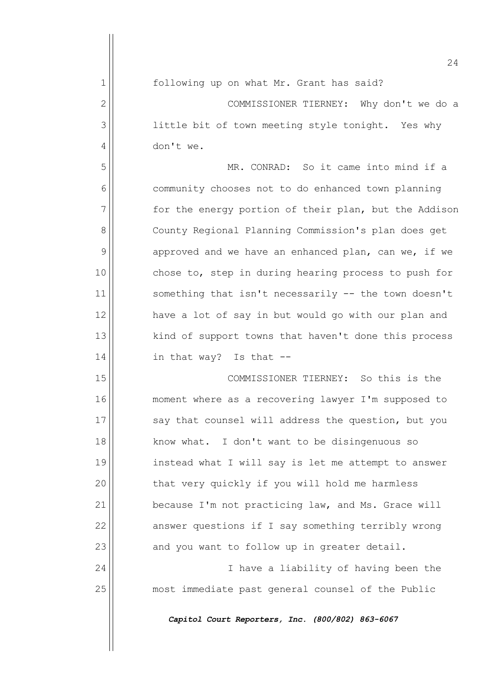1 following up on what Mr. Grant has said?

2 | COMMISSIONER TIERNEY: Why don't we do a 3 | little bit of town meeting style tonight. Yes why 4 don't we.

5 MR. CONRAD: So it came into mind if a 6 | community chooses not to do enhanced town planning  $7$  for the energy portion of their plan, but the Addison 8 | County Regional Planning Commission's plan does get  $9$  approved and we have an enhanced plan, can we, if we 10 chose to, step in during hearing process to push for 11 || something that isn't necessarily -- the town doesn't  $12$  have a lot of say in but would go with our plan and 13 || kind of support towns that haven't done this process  $14$  in that way? Is that  $-$ 

15 COMMISSIONER TIERNEY: So this is the 16 moment where as a recovering lawyer I'm supposed to 17  $\vert$  say that counsel will address the question, but you 18 || know what. I don't want to be disingenuous so 19 || instead what I will say is let me attempt to answer 20 | that very quickly if you will hold me harmless  $21$  because I'm not practicing law, and Ms. Grace will 22 answer questions if I say something terribly wrong  $23$  and you want to follow up in greater detail.

24 || I have a liability of having been the 25 most immediate past general counsel of the Public

*Capitol Court Reporters, Inc. (800/802) 863-6067*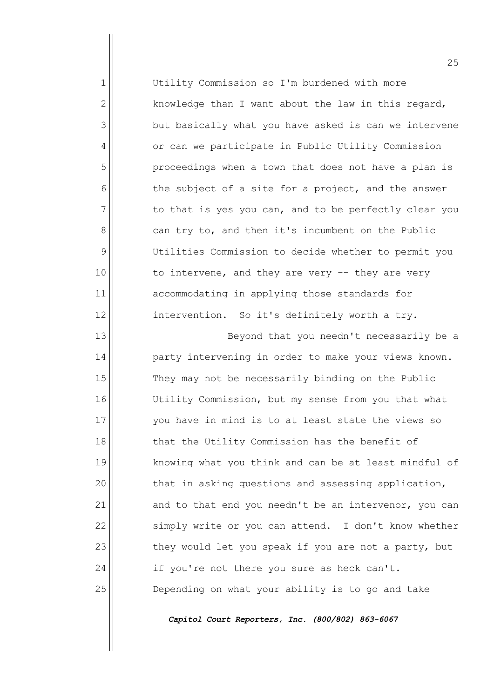| $\mathbf{1}$   | Utility Commission so I'm burdened with more          |
|----------------|-------------------------------------------------------|
| $\overline{2}$ | knowledge than I want about the law in this regard,   |
| 3              | but basically what you have asked is can we intervene |
| 4              | or can we participate in Public Utility Commission    |
| 5              | proceedings when a town that does not have a plan is  |
| 6              | the subject of a site for a project, and the answer   |
| 7              | to that is yes you can, and to be perfectly clear you |
| 8              | can try to, and then it's incumbent on the Public     |
| 9              | Utilities Commission to decide whether to permit you  |
| 10             | to intervene, and they are very $-$ they are very     |
| 11             | accommodating in applying those standards for         |
| 12             | intervention. So it's definitely worth a try.         |
| 13             | Beyond that you needn't necessarily be a              |
| 14             | party intervening in order to make your views known.  |
| 15             | They may not be necessarily binding on the Public     |

15 They may not be necessarily binding on the Public 16 Utility Commission, but my sense from you that what 17 you have in mind is to at least state the views so 18 || that the Utility Commission has the benefit of 19 || knowing what you think and can be at least mindful of  $20$  that in asking questions and assessing application,  $21$  and to that end you needn't be an intervenor, you can  $22$  simply write or you can attend. I don't know whether  $23$  they would let you speak if you are not a party, but  $24$  if you're not there you sure as heck can't. 25 Depending on what your ability is to go and take

*Capitol Court Reporters, Inc. (800/802) 863-6067*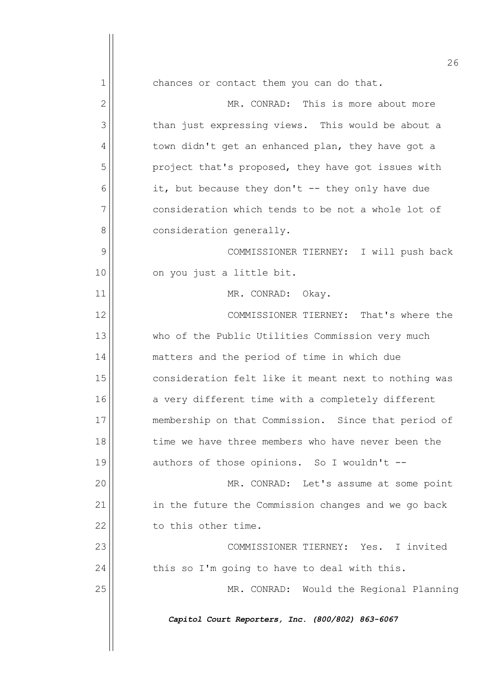|              | 26                                                   |
|--------------|------------------------------------------------------|
| 1            | chances or contact them you can do that.             |
| $\mathbf{2}$ | MR. CONRAD: This is more about more                  |
| 3            | than just expressing views. This would be about a    |
| 4            | town didn't get an enhanced plan, they have got a    |
| 5            | project that's proposed, they have got issues with   |
| 6            | it, but because they don't -- they only have due     |
| 7            | consideration which tends to be not a whole lot of   |
| 8            | consideration generally.                             |
| 9            | COMMISSIONER TIERNEY: I will push back               |
| 10           | on you just a little bit.                            |
| 11           | MR. CONRAD:<br>Okay.                                 |
| 12           | COMMISSIONER TIERNEY: That's where the               |
| 13           | who of the Public Utilities Commission very much     |
| 14           | matters and the period of time in which due          |
| 15           | consideration felt like it meant next to nothing was |
| 16           | a very different time with a completely different    |
| 17           | membership on that Commission. Since that period of  |
| 18           | time we have three members who have never been the   |
| 19           | authors of those opinions. So I wouldn't --          |
| 20           | MR. CONRAD: Let's assume at some point               |
| 21           | in the future the Commission changes and we go back  |
| 22           | to this other time.                                  |
| 23           | COMMISSIONER TIERNEY: Yes. I invited                 |
| 24           | this so I'm going to have to deal with this.         |
| 25           | MR. CONRAD: Would the Regional Planning              |
|              | Capitol Court Reporters, Inc. (800/802) 863-6067     |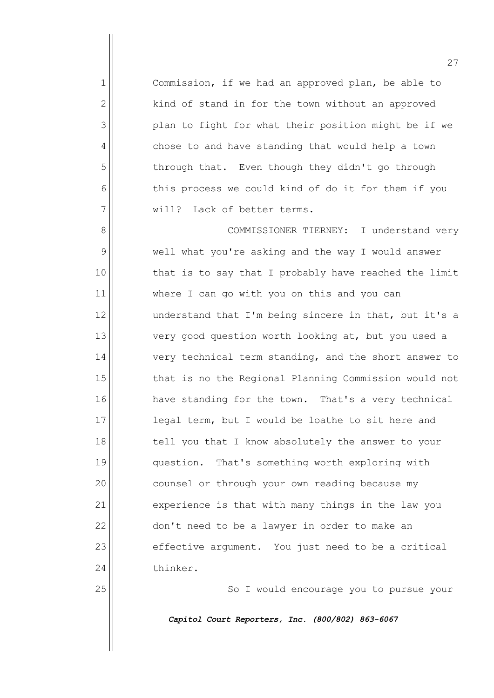Commission, if we had an approved plan, be able to kind of stand in for the town without an approved plan to fight for what their position might be if we 4 chose to and have standing that would help a town through that. Even though they didn't go through this process we could kind of do it for them if you  $\parallel$  will? Lack of better terms.

8 | COMMISSIONER TIERNEY: I understand very 9 well what you're asking and the way I would answer 10 || that is to say that I probably have reached the limit 11 where I can go with you on this and you can  $12$  understand that I'm being sincere in that, but it's a 13 very good question worth looking at, but you used a  $14$  very technical term standing, and the short answer to 15 that is no the Regional Planning Commission would not 16 have standing for the town. That's a very technical 17 || legal term, but I would be loathe to sit here and 18 || tell you that I know absolutely the answer to your 19 || question. That's something worth exploring with 20 | counsel or through your own reading because my 21 experience is that with many things in the law you  $22$  don't need to be a lawyer in order to make an  $23$  effective argument. You just need to be a critical 24 thinker.

25 || So I would encourage you to pursue your

*Capitol Court Reporters, Inc. (800/802) 863-6067*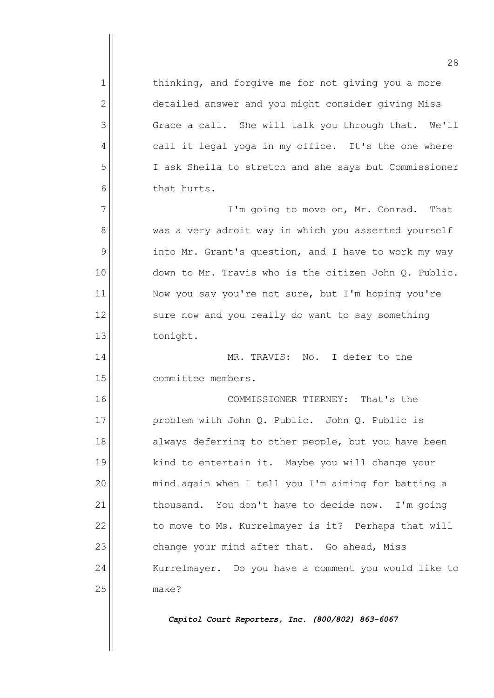1 1 thinking, and forgive me for not giving you a more 2 detailed answer and you might consider giving Miss  $3$  Grace a call. She will talk you through that. We'll 4 call it legal yoga in my office. It's the one where 5 I ask Sheila to stretch and she says but Commissioner 6 bat hurts.

 $7$  |  $\blacksquare$   $\blacksquare$   $\blacksquare$   $\blacksquare$   $\blacksquare$   $\blacksquare$   $\blacksquare$   $\blacksquare$   $\blacksquare$   $\blacksquare$   $\blacksquare$   $\blacksquare$   $\blacksquare$   $\blacksquare$   $\blacksquare$   $\blacksquare$   $\blacksquare$   $\blacksquare$   $\blacksquare$   $\blacksquare$   $\blacksquare$   $\blacksquare$   $\blacksquare$   $\blacksquare$   $\blacksquare$   $\blacksquare$   $\blacksquare$   $\blacksquare$   $\blacksquare$   $\blacksquare$   $\blacksquare$ 8 | was a very adroit way in which you asserted yourself  $9$  into Mr. Grant's question, and I have to work my way 10 down to Mr. Travis who is the citizen John Q. Public. 11 | Now you say you're not sure, but I'm hoping you're  $12$  sure now and you really do want to say something 13 || tonight.

14 MR. TRAVIS: No. I defer to the 15 committee members.

16 COMMISSIONER TIERNEY: That's the 17 | problem with John Q. Public. John Q. Public is 18 always deferring to other people, but you have been 19 || kind to entertain it. Maybe you will change your 20 | mind again when I tell you I'm aiming for batting a  $21$  thousand. You don't have to decide now. I'm going 22 | to move to Ms. Kurrelmayer is it? Perhaps that will  $23$  change your mind after that. Go ahead, Miss 24 | Kurrelmayer. Do you have a comment you would like to 25 make?

*Capitol Court Reporters, Inc. (800/802) 863-6067*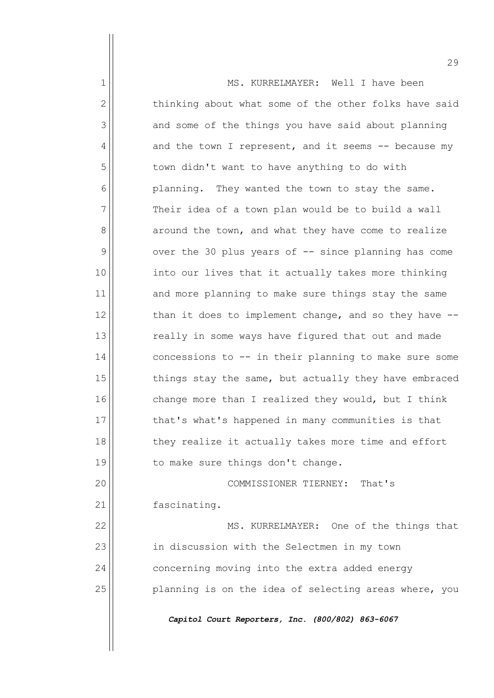|              | 29                                                    |
|--------------|-------------------------------------------------------|
| 1            | MS. KURRELMAYER: Well I have been                     |
| $\mathbf{2}$ | thinking about what some of the other folks have said |
| 3            | and some of the things you have said about planning   |
| 4            | and the town I represent, and it seems -- because my  |
| 5            | town didn't want to have anything to do with          |
| 6            | planning. They wanted the town to stay the same.      |
| 7            | Their idea of a town plan would be to build a wall    |
| 8            | around the town, and what they have come to realize   |
| 9            | over the 30 plus years of -- since planning has come  |
| 10           | into our lives that it actually takes more thinking   |
| 11           | and more planning to make sure things stay the same   |
| 12           | than it does to implement change, and so they have -- |
| 13           | really in some ways have figured that out and made    |
| 14           | concessions to -- in their planning to make sure some |
| 15           | things stay the same, but actually they have embraced |
| 16           | change more than I realized they would, but I think   |
| 17           | that's what's happened in many communities is that    |
| 18           | they realize it actually takes more time and effort   |
| 19           | to make sure things don't change.                     |
| 20           | COMMISSIONER TIERNEY: That's                          |
| 21           | fascinating.                                          |
| 22           | MS. KURRELMAYER: One of the things that               |
| 23           | in discussion with the Selectmen in my town           |
| 24           | concerning moving into the extra added energy         |
| 25           | planning is on the idea of selecting areas where, you |
|              | Capitol Court Reporters, Inc. (800/802) 863-6067      |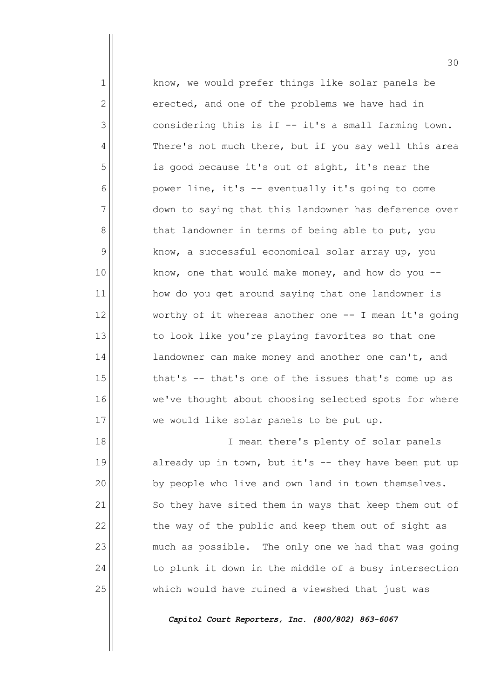1 know, we would prefer things like solar panels be  $2 \parallel$  erected, and one of the problems we have had in  $3$  considering this is if  $-$  it's a small farming town. 4 There's not much there, but if you say well this area 5 | is good because it's out of sight, it's near the  $6$  power line, it's -- eventually it's going to come 7 down to saying that this landowner has deference over 8 | that landowner in terms of being able to put, you  $9$  know, a successful economical solar array up, you  $10$  | know, one that would make money, and how do you  $-$ 11 | how do you get around saying that one landowner is  $12$  worthy of it whereas another one  $-$  I mean it's going 13 to look like you're playing favorites so that one  $14$  andowner can make money and another one can't, and  $15$  that's -- that's one of the issues that's come up as 16 we've thought about choosing selected spots for where 17 we would like solar panels to be put up.

18 || I mean there's plenty of solar panels  $\parallel$  already up in town, but it's -- they have been put up | by people who live and own land in town themselves. 21 | So they have sited them in ways that keep them out of the way of the public and keep them out of sight as much as possible. The only one we had that was going to plunk it down in the middle of a busy intersection 25 which would have ruined a viewshed that just was

*Capitol Court Reporters, Inc. (800/802) 863-6067*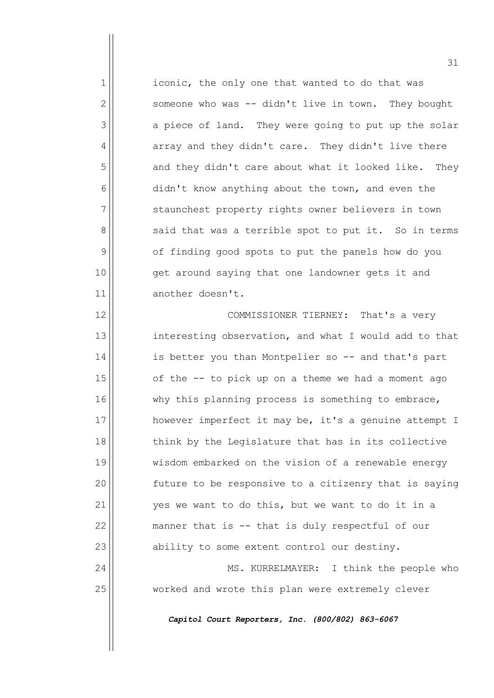1 iconic, the only one that wanted to do that was  $2 \parallel$  someone who was -- didn't live in town. They bought  $3$  a piece of land. They were going to put up the solar  $4 \parallel$  array and they didn't care. They didn't live there 5 and they didn't care about what it looked like. They  $6$  didn't know anything about the town, and even the 7 | staunchest property rights owner believers in town  $8$  said that was a terrible spot to put it. So in terms 9 of finding good spots to put the panels how do you 10 || get around saying that one landowner gets it and 11 another doesn't.

12 | COMMISSIONER TIERNEY: That's a very 13 interesting observation, and what I would add to that 14 | is better you than Montpelier so -- and that's part  $15$  of the  $-$  to pick up on a theme we had a moment ago  $16$  why this planning process is something to embrace, 17 however imperfect it may be, it's a genuine attempt I  $18$  think by the Legislature that has in its collective 19 wisdom embarked on the vision of a renewable energy  $20$   $\vert$  future to be responsive to a citizenry that is saying  $21$  yes we want to do this, but we want to do it in a  $22$  manner that is  $-$  that is duly respectful of our 23 ability to some extent control our destiny.

24 | MS. KURRELMAYER: I think the people who 25 worked and wrote this plan were extremely clever

*Capitol Court Reporters, Inc. (800/802) 863-6067*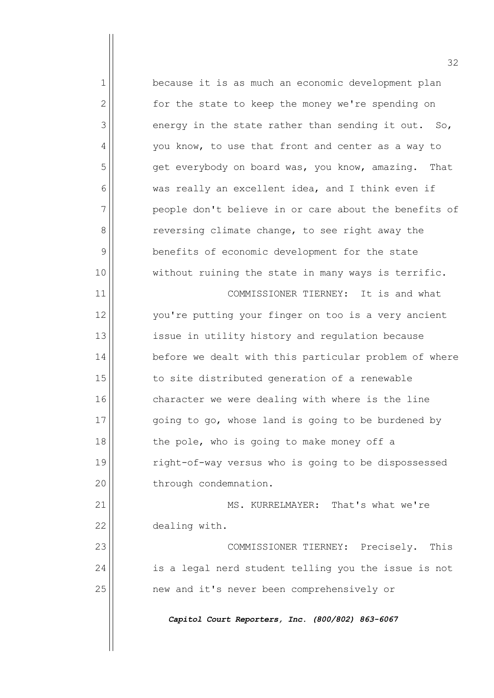1 because it is as much an economic development plan  $2 \parallel$  for the state to keep the money we're spending on  $3$  energy in the state rather than sending it out. So, 4 | vou know, to use that front and center as a way to  $5$  get everybody on board was, you know, amazing. That  $6$  was really an excellent idea, and I think even if  $7$  people don't believe in or care about the benefits of 8 | reversing climate change, to see right away the 9 benefits of economic development for the state 10 || without ruining the state in many ways is terrific. 11 COMMISSIONER TIERNEY: It is and what 12 | vou're putting your finger on too is a very ancient 13 issue in utility history and regulation because 14 before we dealt with this particular problem of where  $15$  to site distributed generation of a renewable 16 character we were dealing with where is the line  $17$   $\vert$  going to go, whose land is going to be burdened by  $18$  the pole, who is going to make money off a 19 right-of-way versus who is going to be dispossessed 20 | through condemnation. 21 MS. KURRELMAYER: That's what we're 22 dealing with. 23 COMMISSIONER TIERNEY: Precisely. This  $24$  is a legal nerd student telling you the issue is not 25 | The mew and it's never been comprehensively or *Capitol Court Reporters, Inc. (800/802) 863-6067*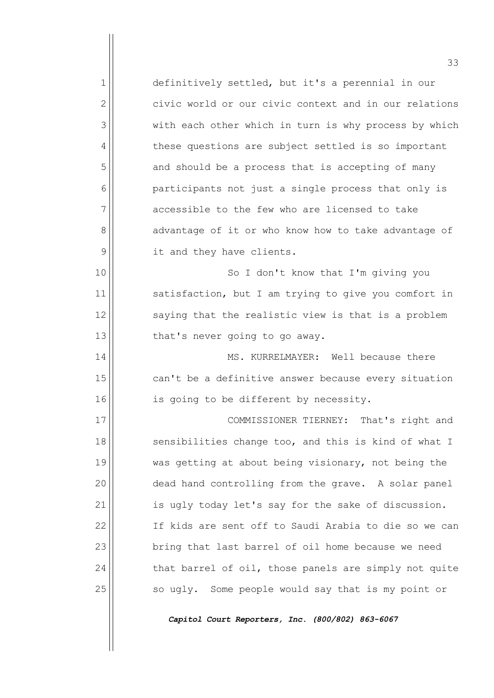$1$  definitively settled, but it's a perennial in our  $2$  civic world or our civic context and in our relations 3 with each other which in turn is why process by which 4 these questions are subject settled is so important  $5$  and should be a process that is accepting of many 6 participants not just a single process that only is  $7$  accessible to the few who are licensed to take 8 advantage of it or who know how to take advantage of 9 | it and they have clients. 10 || So I don't know that I'm giving you 11 | satisfaction, but I am trying to give you comfort in  $12$  saying that the realistic view is that is a problem  $13$  that's never going to go away. 14 MS. KURRELMAYER: Well because there  $15$  can't be a definitive answer because every situation 16 is going to be different by necessity. 17 || COMMISSIONER TIERNEY: That's right and  $18$  sensibilities change too, and this is kind of what I 19 was getting at about being visionary, not being the 20  $\vert$  dead hand controlling from the grave. A solar panel  $21$  is ugly today let's say for the sake of discussion. 22 If kids are sent off to Saudi Arabia to die so we can 23 | bring that last barrel of oil home because we need  $24$  that barrel of oil, those panels are simply not quite 25 | So ugly. Some people would say that is my point or

*Capitol Court Reporters, Inc. (800/802) 863-6067*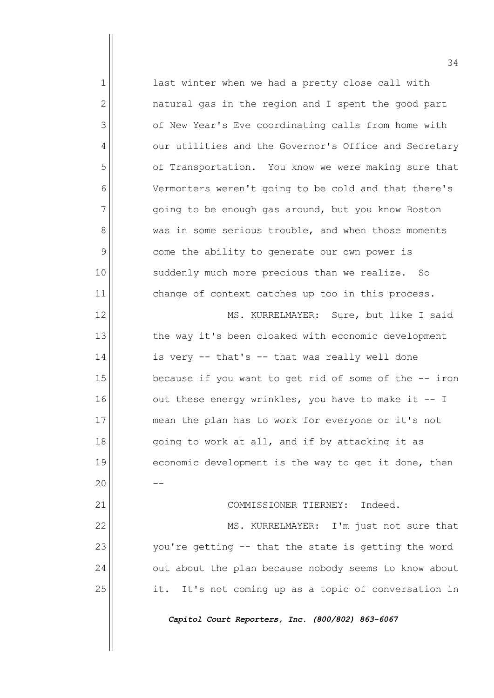| 1              | last winter when we had a pretty close call with      |
|----------------|-------------------------------------------------------|
| $\overline{2}$ | natural gas in the region and I spent the good part   |
| 3              | of New Year's Eve coordinating calls from home with   |
| 4              | our utilities and the Governor's Office and Secretary |
| 5              | of Transportation. You know we were making sure that  |
| 6              | Vermonters weren't going to be cold and that there's  |
| 7              | going to be enough gas around, but you know Boston    |
| 8              | was in some serious trouble, and when those moments   |
| 9              | come the ability to generate our own power is         |
| 10             | suddenly much more precious than we realize. So       |
| 11             | change of context catches up too in this process.     |
| 12             | MS. KURRELMAYER: Sure, but like I said                |
| 13             | the way it's been cloaked with economic development   |
| 14             | is very -- that's -- that was really well done        |
| 15             | because if you want to get rid of some of the -- iron |
| 16             | out these energy wrinkles, you have to make it -- I   |
| 17             | mean the plan has to work for everyone or it's not    |
| 18             | going to work at all, and if by attacking it as       |
| 19             | economic development is the way to get it done, then  |
| 20             |                                                       |
| 21             | Indeed.<br>COMMISSIONER TIERNEY:                      |
| 22             | MS. KURRELMAYER: I'm just not sure that               |
| 23             | you're getting -- that the state is getting the word  |
| 24             | out about the plan because nobody seems to know about |
| 25             | it. It's not coming up as a topic of conversation in  |
|                |                                                       |

 $\overline{\phantom{a}}$ 

 $\overline{ }$ 

*Capitol Court Reporters, Inc. (800/802) 863-6067*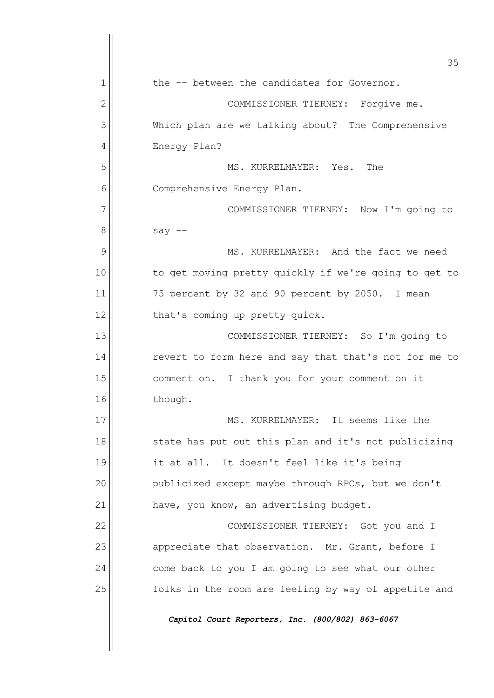|                | 35                                                    |
|----------------|-------------------------------------------------------|
| 1              | the -- between the candidates for Governor.           |
| $\overline{2}$ | COMMISSIONER TIERNEY:<br>Forgive me.                  |
| 3              | Which plan are we talking about? The Comprehensive    |
| 4              | Energy Plan?                                          |
| 5              | The<br>MS. KURRELMAYER: Yes.                          |
| 6              | Comprehensive Energy Plan.                            |
| 7              | COMMISSIONER TIERNEY: Now I'm going to                |
| 8              | say $--$                                              |
| 9              | MS. KURRELMAYER: And the fact we need                 |
| 10             | to get moving pretty quickly if we're going to get to |
| 11             | 75 percent by 32 and 90 percent by 2050. I mean       |
| 12             | that's coming up pretty quick.                        |
| 13             | COMMISSIONER TIERNEY: So I'm going to                 |
| 14             | revert to form here and say that that's not for me to |
| 15             | comment on. I thank you for your comment on it        |
| 16             | though.                                               |
| 17             | MS. KURRELMAYER: It seems like the                    |
| 18             | state has put out this plan and it's not publicizing  |
| 19             | it at all. It doesn't feel like it's being            |
| 20             | publicized except maybe through RPCs, but we don't    |
| 21             | have, you know, an advertising budget.                |
| 22             | COMMISSIONER TIERNEY: Got you and I                   |
| 23             | appreciate that observation. Mr. Grant, before I      |
| 24             | come back to you I am going to see what our other     |
| 25             | folks in the room are feeling by way of appetite and  |
|                | Capitol Court Reporters, Inc. (800/802) 863-6067      |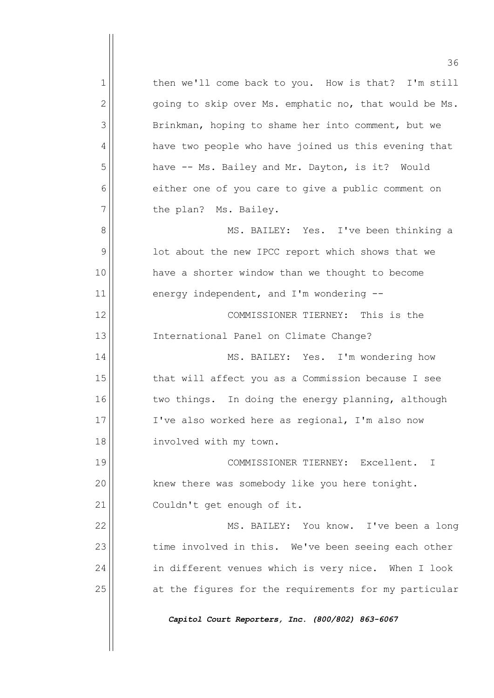36 1 then we'll come back to you. How is that? I'm still  $2 \parallel$  going to skip over Ms. emphatic no, that would be Ms. 3 | Brinkman, hoping to shame her into comment, but we 4 | have two people who have joined us this evening that 5 have -- Ms. Bailey and Mr. Dayton, is it? Would 6 || either one of you care to give a public comment on  $7$  | the plan? Ms. Bailey. 8 || MS. BAILEY: Yes. I've been thinking a  $9$   $|$  lot about the new IPCC report which shows that we 10 | have a shorter window than we thought to become  $11$  energy independent, and I'm wondering  $-$ 12 COMMISSIONER TIERNEY: This is the 13 International Panel on Climate Change? 14 | MS. BAILEY: Yes. I'm wondering how 15 || that will affect you as a Commission because I see  $16$  two things. In doing the energy planning, although 17 || I've also worked here as regional, I'm also now 18 || involved with my town. 19 COMMISSIONER TIERNEY: Excellent. I  $20$  knew there was somebody like you here tonight. 21 | Couldn't get enough of it. 22 || MS. BAILEY: You know. I've been a long 23 time involved in this. We've been seeing each other 24 | in different venues which is very nice. When I look 25 at the figures for the requirements for my particular *Capitol Court Reporters, Inc. (800/802) 863-6067*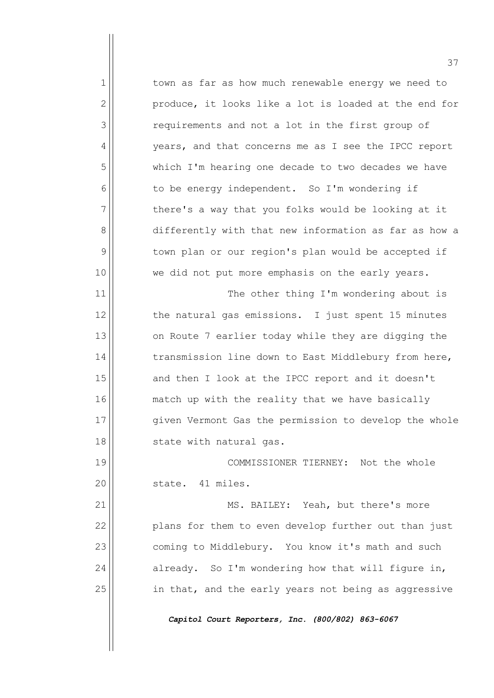1 town as far as how much renewable energy we need to  $2$  produce, it looks like a lot is loaded at the end for 3 | The requirements and not a lot in the first group of 4 | vears, and that concerns me as I see the IPCC report 5 which I'm hearing one decade to two decades we have  $6$  to be energy independent. So I'm wondering if  $7$  there's a way that you folks would be looking at it 8 differently with that new information as far as how a 9 | town plan or our region's plan would be accepted if 10 || we did not put more emphasis on the early years. 11 | The other thing I'm wondering about is  $12$  the natural gas emissions. I just spent 15 minutes

 on Route 7 earlier today while they are digging the  $\vert$  transmission line down to East Middlebury from here, and then I look at the IPCC report and it doesn't 16 match up with the reality that we have basically 17 || given Vermont Gas the permission to develop the whole  $\parallel$  state with natural gas.

19 COMMISSIONER TIERNEY: Not the whole 20 | state. 41 miles.

21 || MS. BAILEY: Yeah, but there's more 22 **plans for them to even develop further out than just** 23 coming to Middlebury. You know it's math and such  $24$  already. So I'm wondering how that will figure in, 25 | in that, and the early years not being as aggressive

*Capitol Court Reporters, Inc. (800/802) 863-6067*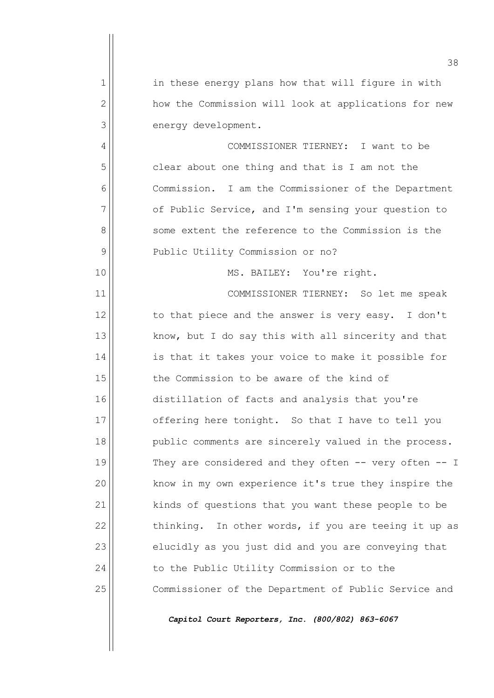|                | 38                                                        |
|----------------|-----------------------------------------------------------|
| 1              | in these energy plans how that will figure in with        |
| $\overline{2}$ | how the Commission will look at applications for new      |
| 3              | energy development.                                       |
| 4              | COMMISSIONER TIERNEY: I want to be                        |
| 5              | clear about one thing and that is I am not the            |
| 6              | Commission. I am the Commissioner of the Department       |
| 7              | of Public Service, and I'm sensing your question to       |
| 8              | some extent the reference to the Commission is the        |
| 9              | Public Utility Commission or no?                          |
| 10             | MS. BAILEY: You're right.                                 |
| 11             | COMMISSIONER TIERNEY: So let me speak                     |
| 12             | to that piece and the answer is very easy. I don't        |
| 13             | know, but I do say this with all sincerity and that       |
| 14             | is that it takes your voice to make it possible for       |
| 15             | the Commission to be aware of the kind of                 |
| 16             | distillation of facts and analysis that you're            |
| 17             | offering here tonight. So that I have to tell you         |
| 18             | public comments are sincerely valued in the process.      |
| 19             | They are considered and they often $--$ very often $--$ I |
| 20             | know in my own experience it's true they inspire the      |
| 21             | kinds of questions that you want these people to be       |
| 22             | thinking. In other words, if you are teeing it up as      |
| 23             | elucidly as you just did and you are conveying that       |
| 24             | to the Public Utility Commission or to the                |
| 25             | Commissioner of the Department of Public Service and      |
|                | Capitol Court Reporters, Inc. (800/802) 863-6067          |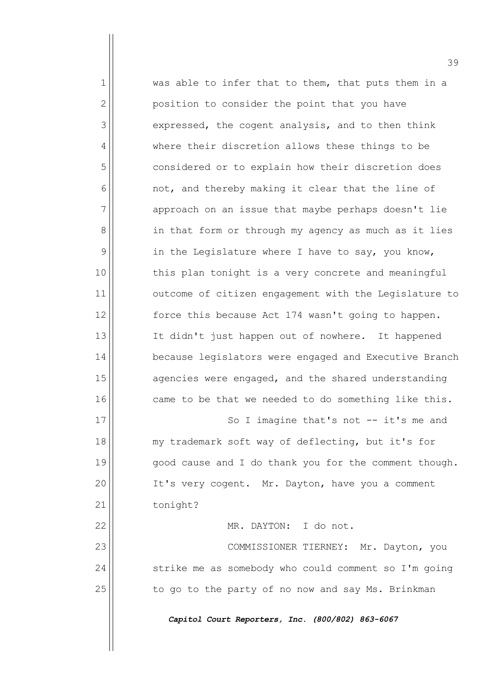$1$  was able to infer that to them, that puts them in a 2 | position to consider the point that you have 3 expressed, the cogent analysis, and to then think 4 where their discretion allows these things to be 5 | considered or to explain how their discretion does  $6$  not, and thereby making it clear that the line of  $7$  approach on an issue that maybe perhaps doesn't lie 8 | in that form or through my agency as much as it lies  $9$  in the Legislature where I have to say, you know, 10 || this plan tonight is a very concrete and meaningful 11 || outcome of citizen engagement with the Legislature to 12 | force this because Act 174 wasn't going to happen. 13 || It didn't just happen out of nowhere. It happened 14 | because legislators were engaged and Executive Branch  $15$  agencies were engaged, and the shared understanding 16 came to be that we needed to do something like this. 17 || So I imagine that's not -- it's me and 18 my trademark soft way of deflecting, but it's for 19 || good cause and I do thank you for the comment though. 20 | It's very cogent. Mr. Dayton, have you a comment 21 | tonight? 22 MR. DAYTON: I do not. 23 || COMMISSIONER TIERNEY: Mr. Dayton, you 24 | strike me as somebody who could comment so I'm going 25  $\vert$  to go to the party of no now and say Ms. Brinkman

*Capitol Court Reporters, Inc. (800/802) 863-6067*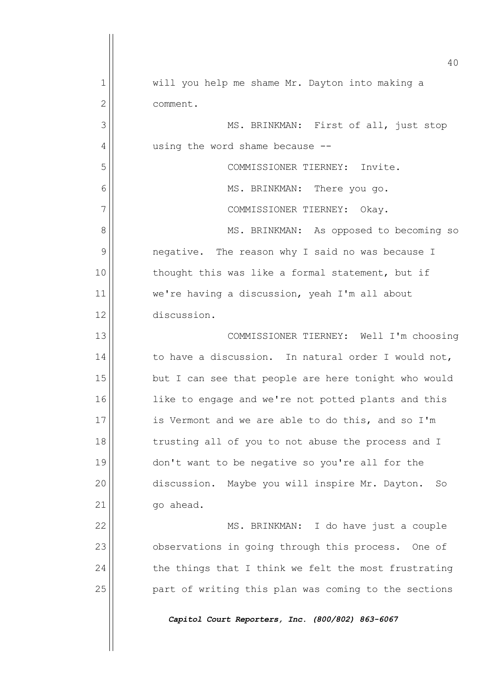|                | 40                                                   |
|----------------|------------------------------------------------------|
| 1              | will you help me shame Mr. Dayton into making a      |
| $\overline{2}$ | comment.                                             |
| 3              | MS. BRINKMAN: First of all, just stop                |
| 4              | using the word shame because --                      |
| 5              | COMMISSIONER TIERNEY: Invite.                        |
| 6              | MS. BRINKMAN: There you go.                          |
| 7              | COMMISSIONER TIERNEY: Okay.                          |
| 8              | MS. BRINKMAN: As opposed to becoming so              |
| 9              | negative. The reason why I said no was because I     |
| 10             | thought this was like a formal statement, but if     |
| 11             | we're having a discussion, yeah I'm all about        |
| 12             | discussion.                                          |
| 13             | COMMISSIONER TIERNEY: Well I'm choosing              |
| 14             | to have a discussion. In natural order I would not,  |
| 15             | but I can see that people are here tonight who would |
| 16             | like to engage and we're not potted plants and this  |
| 17             | is Vermont and we are able to do this, and so I'm    |
| 18             | trusting all of you to not abuse the process and I   |
| 19             | don't want to be negative so you're all for the      |
| 20             | discussion. Maybe you will inspire Mr. Dayton.<br>So |
| 21             | go ahead.                                            |
| 22             | MS. BRINKMAN: I do have just a couple                |
| 23             | observations in going through this process. One of   |
| 24             | the things that I think we felt the most frustrating |
| 25             | part of writing this plan was coming to the sections |
|                | Capitol Court Reporters, Inc. (800/802) 863-6067     |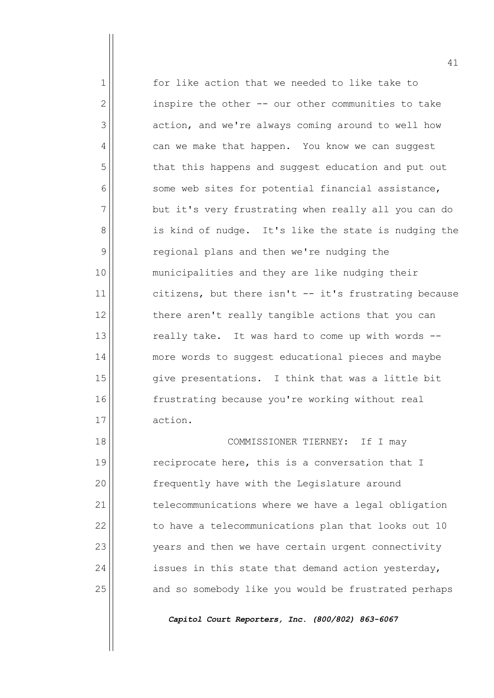1 for like action that we needed to like take to  $2 \parallel$  inspire the other  $-$  our other communities to take 3 action, and we're always coming around to well how  $4 \parallel$  can we make that happen. You know we can suggest 5 that this happens and suggest education and put out  $6$  some web sites for potential financial assistance,  $7$  but it's very frustrating when really all you can do 8 || is kind of nudge. It's like the state is nudging the 9 | regional plans and then we're nudging the 10 municipalities and they are like nudging their  $11$  citizens, but there isn't -- it's frustrating because  $12$  there aren't really tangible actions that you can  $13$  really take. It was hard to come up with words  $-$ 14 more words to suggest educational pieces and maybe  $15$  give presentations. I think that was a little bit 16 frustrating because you're working without real 17 action.

18 COMMISSIONER TIERNEY: If I may  $19$  reciprocate here, this is a conversation that I 20 | Frequently have with the Legislature around 21 telecommunications where we have a legal obligation  $22$  to have a telecommunications plan that looks out 10 23 | vears and then we have certain urgent connectivity  $24$  issues in this state that demand action yesterday, 25 | and so somebody like you would be frustrated perhaps

*Capitol Court Reporters, Inc. (800/802) 863-6067*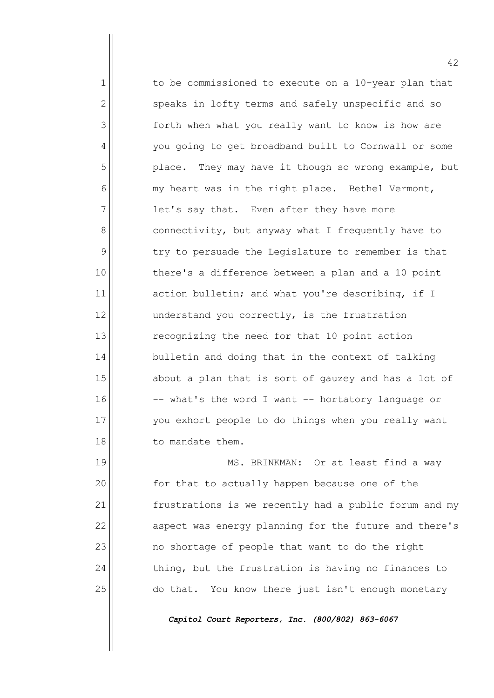1 to be commissioned to execute on a 10-year plan that  $2$  speaks in lofty terms and safely unspecific and so 3 | forth when what you really want to know is how are 4 | vou going to get broadband built to Cornwall or some 5 | place. They may have it though so wrong example, but  $6$  my heart was in the right place. Bethel Vermont,  $7$  let's say that. Even after they have more 8 | connectivity, but anyway what I frequently have to  $9$  try to persuade the Legislature to remember is that 10 there's a difference between a plan and a 10 point  $11$  action bulletin; and what you're describing, if I  $12$  understand you correctly, is the frustration 13 recognizing the need for that 10 point action  $14$  bulletin and doing that in the context of talking  $15$  about a plan that is sort of gauzey and has a lot of  $16$   $\vert$  -- what's the word I want -- hortatory language or 17 you exhort people to do things when you really want 18 to mandate them.

19 || MS. BRINKMAN: Or at least find a way 20 | Some that to actually happen because one of the 21 | frustrations is we recently had a public forum and my  $22$  aspect was energy planning for the future and there's  $23$  no shortage of people that want to do the right  $24$  thing, but the frustration is having no finances to 25 | do that. You know there just isn't enough monetary

*Capitol Court Reporters, Inc. (800/802) 863-6067*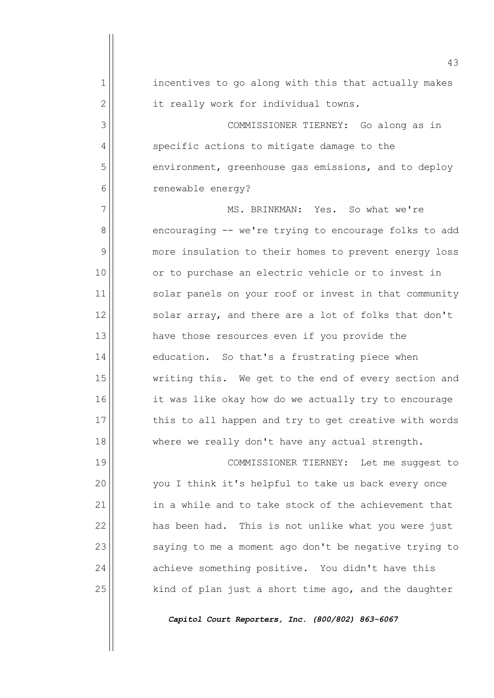|              | 43                                                    |
|--------------|-------------------------------------------------------|
| $\mathbf{1}$ | incentives to go along with this that actually makes  |
| $\mathbf{2}$ | it really work for individual towns.                  |
| 3            | COMMISSIONER TIERNEY: Go along as in                  |
| 4            | specific actions to mitigate damage to the            |
| 5            | environment, greenhouse gas emissions, and to deploy  |
| 6            | renewable energy?                                     |
| 7            | MS. BRINKMAN: Yes. So what we're                      |
| 8            | encouraging -- we're trying to encourage folks to add |
| 9            | more insulation to their homes to prevent energy loss |
| 10           | or to purchase an electric vehicle or to invest in    |
| 11           | solar panels on your roof or invest in that community |
| 12           | solar array, and there are a lot of folks that don't  |
| 13           | have those resources even if you provide the          |
| 14           | education. So that's a frustrating piece when         |
| 15           | writing this. We get to the end of every section and  |
| 16           | it was like okay how do we actually try to encourage  |
| 17           | this to all happen and try to get creative with words |
| 18           | where we really don't have any actual strength.       |
| 19           | COMMISSIONER TIERNEY: Let me suggest to               |
| 20           | you I think it's helpful to take us back every once   |
| 21           | in a while and to take stock of the achievement that  |
| 22           | has been had. This is not unlike what you were just   |
| 23           | saying to me a moment ago don't be negative trying to |
| 24           | achieve something positive. You didn't have this      |
| 25           | kind of plan just a short time ago, and the daughter  |
|              | Capitol Court Reporters, Inc. (800/802) 863-6067      |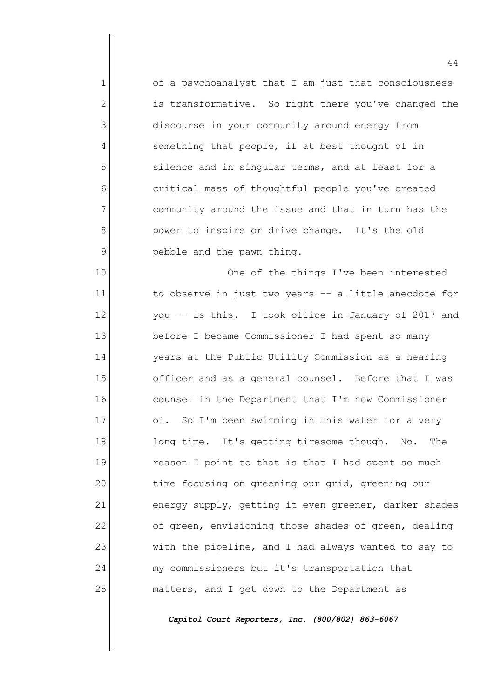1 of a psychoanalyst that I am just that consciousness  $2$  is transformative. So right there you've changed the 3 discourse in your community around energy from  $4 \parallel$  something that people, if at best thought of in 5 | silence and in singular terms, and at least for a 6 critical mass of thoughtful people you've created 7 community around the issue and that in turn has the 8 power to inspire or drive change. It's the old  $9$  | pebble and the pawn thing.

10 One of the things I've been interested  $11$  to observe in just two years  $-$  a little anecdote for 12 || vou -- is this. I took office in January of 2017 and 13 before I became Commissioner I had spent so many 14 | vears at the Public Utility Commission as a hearing 15 officer and as a general counsel. Before that I was 16 counsel in the Department that I'm now Commissioner 17 of. So I'm been swimming in this water for a very 18 long time. It's getting tiresome though. No. The  $19$  reason I point to that is that I had spent so much 20  $\parallel$  time focusing on greening our grid, greening our  $21$  energy supply, getting it even greener, darker shades  $22$  of green, envisioning those shades of green, dealing  $23$  with the pipeline, and I had always wanted to say to 24 | my commissioners but it's transportation that 25 | matters, and I get down to the Department as

*Capitol Court Reporters, Inc. (800/802) 863-6067*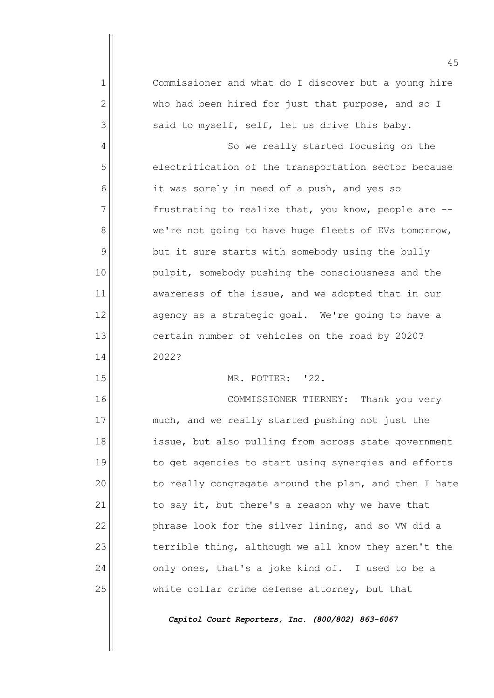|               | 45                                                    |
|---------------|-------------------------------------------------------|
| 1             | Commissioner and what do I discover but a young hire  |
| 2             | who had been hired for just that purpose, and so I    |
| 3             | said to myself, self, let us drive this baby.         |
| 4             | So we really started focusing on the                  |
| 5             | electrification of the transportation sector because  |
| 6             | it was sorely in need of a push, and yes so           |
| 7             | frustrating to realize that, you know, people are --  |
| 8             | we're not going to have huge fleets of EVs tomorrow,  |
| $\mathcal{G}$ | but it sure starts with somebody using the bully      |
| 10            | pulpit, somebody pushing the consciousness and the    |
| 11            | awareness of the issue, and we adopted that in our    |
| 12            | agency as a strategic goal. We're going to have a     |
| 13            | certain number of vehicles on the road by 2020?       |
| 14            | 2022?                                                 |
| 15            | MR. POTTER: '22.                                      |
| 16            | COMMISSIONER TIERNEY:<br>Thank you very               |
| 17            | much, and we really started pushing not just the      |
| 18            | issue, but also pulling from across state government  |
| 19            | to get agencies to start using synergies and efforts  |
| 20            | to really congregate around the plan, and then I hate |
| 21            | to say it, but there's a reason why we have that      |
| 22            | phrase look for the silver lining, and so VW did a    |
| 23            | terrible thing, although we all know they aren't the  |
| 24            | only ones, that's a joke kind of. I used to be a      |
| 25            | white collar crime defense attorney, but that         |
|               | Capitol Court Reporters, Inc. (800/802) 863-6067      |
|               |                                                       |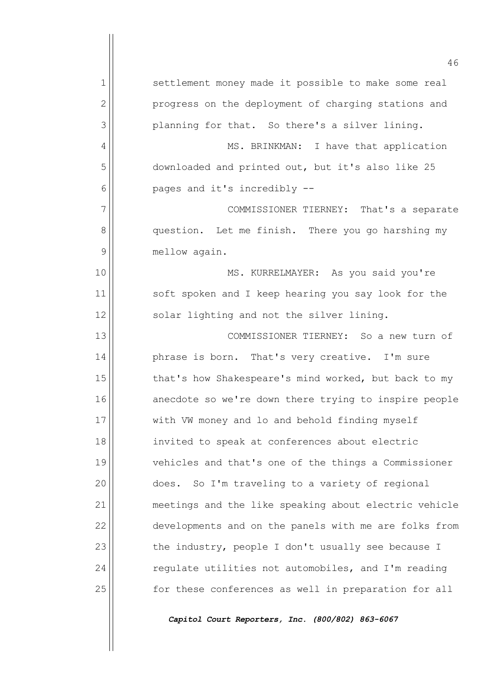|              | 46                                                    |
|--------------|-------------------------------------------------------|
| $\mathbf{1}$ | settlement money made it possible to make some real   |
| $\mathbf{2}$ | progress on the deployment of charging stations and   |
| 3            | planning for that. So there's a silver lining.        |
| 4            | MS. BRINKMAN: I have that application                 |
| 5            | downloaded and printed out, but it's also like 25     |
| 6            | pages and it's incredibly --                          |
| 7            | COMMISSIONER TIERNEY: That's a separate               |
| 8            | question. Let me finish. There you go harshing my     |
| 9            | mellow again.                                         |
| 10           | MS. KURRELMAYER: As you said you're                   |
| 11           | soft spoken and I keep hearing you say look for the   |
| 12           | solar lighting and not the silver lining.             |
| 13           | COMMISSIONER TIERNEY: So a new turn of                |
| 14           | phrase is born. That's very creative. I'm sure        |
| 15           | that's how Shakespeare's mind worked, but back to my  |
| 16           | anecdote so we're down there trying to inspire people |
| 17           | with VW money and lo and behold finding myself        |
| 18           | invited to speak at conferences about electric        |
| 19           | vehicles and that's one of the things a Commissioner  |
| 20           | So I'm traveling to a variety of regional<br>does.    |
| 21           | meetings and the like speaking about electric vehicle |
| 22           | developments and on the panels with me are folks from |
| 23           | the industry, people I don't usually see because I    |
| 24           | regulate utilities not automobiles, and I'm reading   |
| 25           | for these conferences as well in preparation for all  |
|              |                                                       |

*Capitol Court Reporters, Inc. (800/802) 863-6067*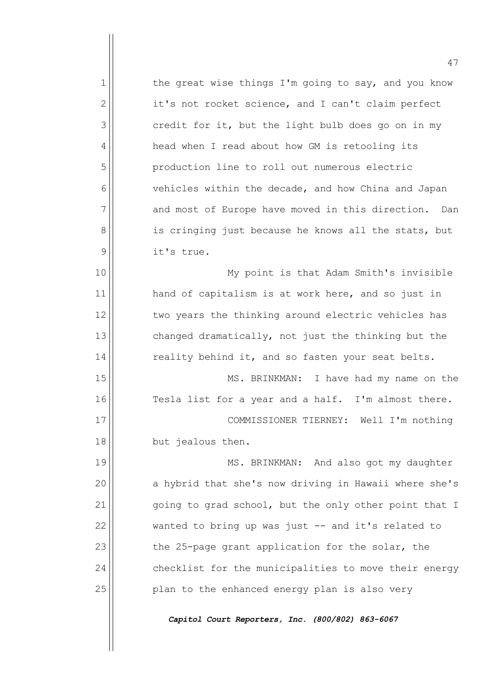1 the great wise things I'm going to say, and you know  $2 \parallel$  it's not rocket science, and I can't claim perfect  $3$  credit for it, but the light bulb does go on in my 4 | head when I read about how GM is retooling its 5 production line to roll out numerous electric  $6$  vehicles within the decade, and how China and Japan  $7$  and most of Europe have moved in this direction. Dan 8 | is cringing just because he knows all the stats, but 9 || it's true. 10 My point is that Adam Smith's invisible  $11$  hand of capitalism is at work here, and so just in  $12$  two years the thinking around electric vehicles has

 $13$  changed dramatically, not just the thinking but the  $14$  reality behind it, and so fasten your seat belts.

15 || MS. BRINKMAN: I have had my name on the  $16$  Tesla list for a year and a half. I'm almost there.

17 COMMISSIONER TIERNEY: Well I'm nothing 18 but jealous then.

19 || MS. BRINKMAN: And also got my daughter 20 | a hybrid that she's now driving in Hawaii where she's  $21$  going to grad school, but the only other point that I  $22$  wanted to bring up was just  $-$  and it's related to  $23$  the 25-page grant application for the solar, the  $24$  checklist for the municipalities to move their energy 25 || Plan to the enhanced energy plan is also very

*Capitol Court Reporters, Inc. (800/802) 863-6067*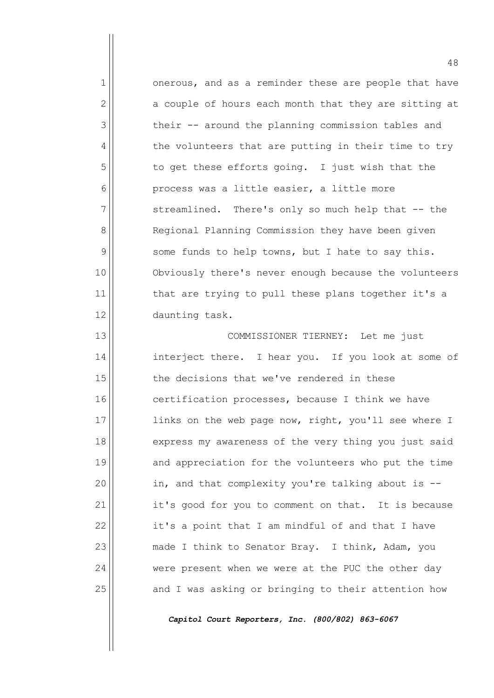1 onerous, and as a reminder these are people that have  $2$  a couple of hours each month that they are sitting at  $3$  their -- around the planning commission tables and 4 the volunteers that are putting in their time to try  $5$  to get these efforts going. I just wish that the  $6$  process was a little easier, a little more  $7$  streamlined. There's only so much help that  $-$  the 8 | Regional Planning Commission they have been given  $9$  some funds to help towns, but I hate to say this. 10 | Obviously there's never enough because the volunteers  $11$  that are trying to pull these plans together it's a 12 || daunting task.

13 || COMMISSIONER TIERNEY: Let me just 14 interject there. I hear you. If you look at some of  $15$  the decisions that we've rendered in these  $16$  certification processes, because I think we have 17 || links on the web page now, right, you'll see where I 18 express my awareness of the very thing you just said 19 and appreciation for the volunteers who put the time  $20$  in, and that complexity you're talking about is  $-$ 21 | it's good for you to comment on that. It is because  $22$  it's a point that I am mindful of and that I have 23 | made I think to Senator Bray. I think, Adam, you 24 were present when we were at the PUC the other day  $25$  and I was asking or bringing to their attention how

*Capitol Court Reporters, Inc. (800/802) 863-6067*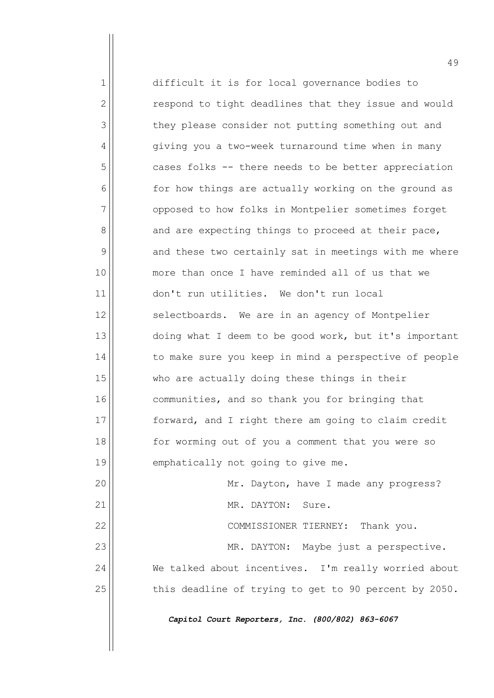1 difficult it is for local governance bodies to  $2$  respond to tight deadlines that they issue and would 3 they please consider not putting something out and 4 | qiving you a two-week turnaround time when in many  $5$  cases folks -- there needs to be better appreciation  $6$  for how things are actually working on the ground as 7 opposed to how folks in Montpelier sometimes forget  $8$  and are expecting things to proceed at their pace,  $9$  and these two certainly sat in meetings with me where 10 || more than once I have reminded all of us that we 11 don't run utilities. We don't run local  $12$  selectboards. We are in an agency of Montpelier 13 doing what I deem to be good work, but it's important 14 | to make sure you keep in mind a perspective of people  $15$  who are actually doing these things in their 16 communities, and so thank you for bringing that 17 forward, and I right there am going to claim credit 18 || for worming out of you a comment that you were so 19 emphatically not going to give me. 20 Mr. Dayton, have I made any progress? 21 | MR. DAYTON: Sure. 22 COMMISSIONER TIERNEY: Thank you. 23 MR. DAYTON: Maybe just a perspective. 24 We talked about incentives. I'm really worried about  $25$  this deadline of trying to get to 90 percent by 2050. *Capitol Court Reporters, Inc. (800/802) 863-6067*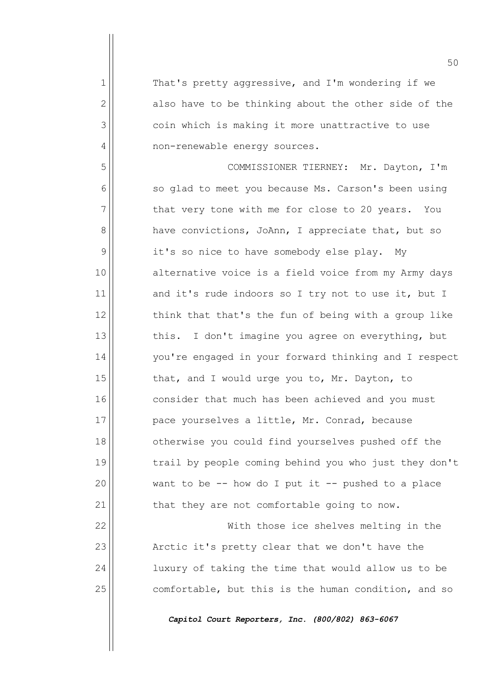$1$  That's pretty aggressive, and I'm wondering if we  $2$  also have to be thinking about the other side of the 3 coin which is making it more unattractive to use 4 | non-renewable energy sources.

5 COMMISSIONER TIERNEY: Mr. Dayton, I'm  $6$  so glad to meet you because Ms. Carson's been using  $7$  that very tone with me for close to 20 years. You 8 | have convictions, JoAnn, I appreciate that, but so 9 | it's so nice to have somebody else play. My 10 || alternative voice is a field voice from my Army days  $11$  and it's rude indoors so I try not to use it, but I  $12$  think that that's the fun of being with a group like  $13$  this. I don't imagine you agree on everything, but 14 | vou're engaged in your forward thinking and I respect 15  $\parallel$  that, and I would urge you to, Mr. Dayton, to 16 consider that much has been achieved and you must 17 | pace yourselves a little, Mr. Conrad, because 18 || otherwise you could find yourselves pushed off the 19 trail by people coming behind you who just they don't  $20$  want to be -- how do I put it -- pushed to a place  $21$  that they are not comfortable going to now.

22 With those ice shelves melting in the 23 | Arctic it's pretty clear that we don't have the 24 | luxury of taking the time that would allow us to be 25 comfortable, but this is the human condition, and so

*Capitol Court Reporters, Inc. (800/802) 863-6067*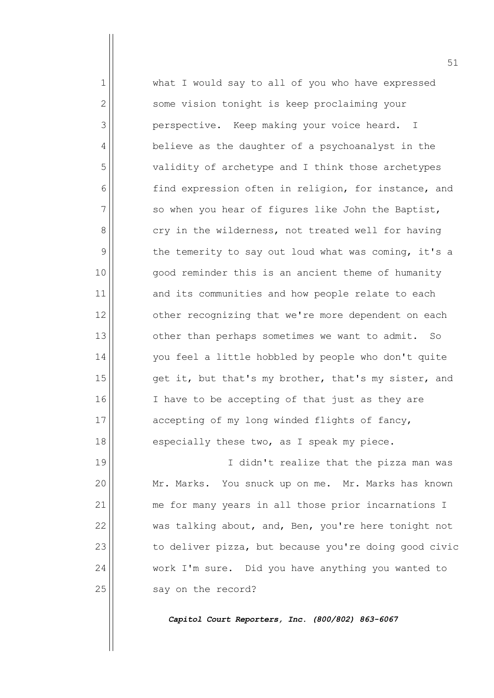1 what I would say to all of you who have expressed 2 | Some vision tonight is keep proclaiming your 3 perspective. Keep making your voice heard. I 4 | believe as the daughter of a psychoanalyst in the 5 validity of archetype and I think those archetypes 6 find expression often in religion, for instance, and  $7$   $\vert$  so when you hear of figures like John the Baptist,  $8$  cry in the wilderness, not treated well for having  $9$  the temerity to say out loud what was coming, it's a 10 good reminder this is an ancient theme of humanity 11 and its communities and how people relate to each  $12$   $\vert$  other recognizing that we're more dependent on each  $13$  other than perhaps sometimes we want to admit. So 14 | vou feel a little hobbled by people who don't quite 15  $\parallel$  get it, but that's my brother, that's my sister, and 16 || I have to be accepting of that just as they are 17 accepting of my long winded flights of fancy,  $18$  especially these two, as I speak my piece. 19 || I didn't realize that the pizza man was 20 | Mr. Marks. You snuck up on me. Mr. Marks has known

21 | me for many years in all those prior incarnations I  $22$  was talking about, and, Ben, you're here tonight not  $23$  to deliver pizza, but because you're doing good civic 24 Work I'm sure. Did you have anything you wanted to  $25$  say on the record?

*Capitol Court Reporters, Inc. (800/802) 863-6067*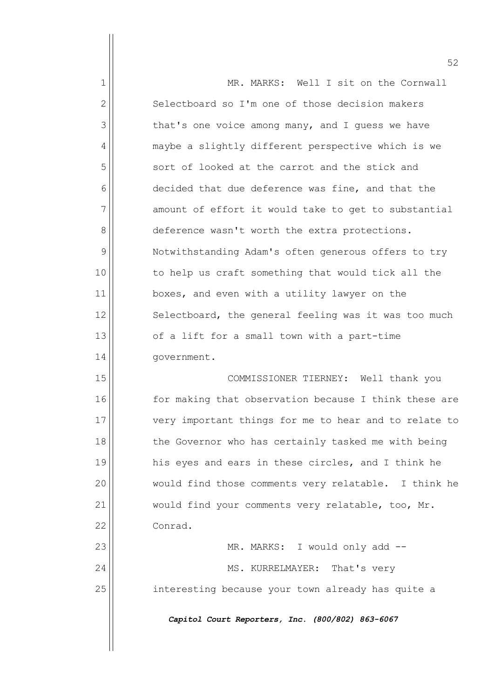|              | 52                                                    |
|--------------|-------------------------------------------------------|
| 1            | MR. MARKS: Well I sit on the Cornwall                 |
| $\mathbf{2}$ | Selectboard so I'm one of those decision makers       |
| 3            | that's one voice among many, and I quess we have      |
| 4            | maybe a slightly different perspective which is we    |
| 5            | sort of looked at the carrot and the stick and        |
| 6            | decided that due deference was fine, and that the     |
| 7            | amount of effort it would take to get to substantial  |
| 8            | deference wasn't worth the extra protections.         |
| 9            | Notwithstanding Adam's often generous offers to try   |
| 10           | to help us craft something that would tick all the    |
| 11           | boxes, and even with a utility lawyer on the          |
| 12           | Selectboard, the general feeling was it was too much  |
| 13           | of a lift for a small town with a part-time           |
| 14           | government.                                           |
| 15           | COMMISSIONER TIERNEY: Well thank you                  |
| 16           | for making that observation because I think these are |
| 17           | very important things for me to hear and to relate to |
| 18           | the Governor who has certainly tasked me with being   |
| 19           | his eyes and ears in these circles, and I think he    |
| 20           | would find those comments very relatable. I think he  |
| 21           | would find your comments very relatable, too, Mr.     |
| 22           | Conrad.                                               |
| 23           | MR. MARKS: I would only add --                        |
| 24           | MS. KURRELMAYER: That's very                          |
| 25           | interesting because your town already has quite a     |
|              | Capitol Court Reporters, Inc. (800/802) 863-6067      |
|              |                                                       |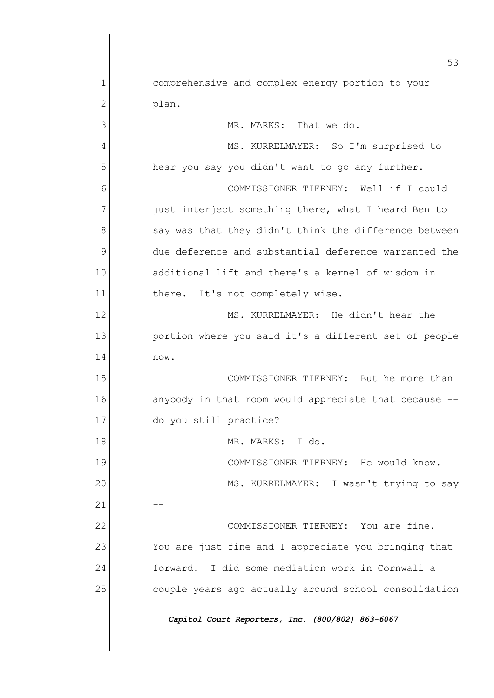|                | 53                                                    |
|----------------|-------------------------------------------------------|
| 1              | comprehensive and complex energy portion to your      |
| $\overline{2}$ | plan.                                                 |
| 3              | MR. MARKS: That we do.                                |
| 4              | MS. KURRELMAYER: So I'm surprised to                  |
| 5              | hear you say you didn't want to go any further.       |
| 6              | COMMISSIONER TIERNEY: Well if I could                 |
| 7              | just interject something there, what I heard Ben to   |
| 8              | say was that they didn't think the difference between |
| 9              | due deference and substantial deference warranted the |
| 10             | additional lift and there's a kernel of wisdom in     |
| 11             | It's not completely wise.<br>there.                   |
| 12             | MS. KURRELMAYER: He didn't hear the                   |
| 13             | portion where you said it's a different set of people |
| 14             | now.                                                  |
| 15             | COMMISSIONER TIERNEY: But he more than                |
| 16             | anybody in that room would appreciate that because -- |
| 17             | do you still practice?                                |
| 18             | MR. MARKS: I do.                                      |
| 19             | COMMISSIONER TIERNEY: He would know.                  |
| 20             | MS. KURRELMAYER: I wasn't trying to say               |
| 21             |                                                       |
| 22             | COMMISSIONER TIERNEY: You are fine.                   |
| 23             | You are just fine and I appreciate you bringing that  |
| 24             | forward. I did some mediation work in Cornwall a      |
| 25             | couple years ago actually around school consolidation |
|                | Capitol Court Reporters, Inc. (800/802) 863-6067      |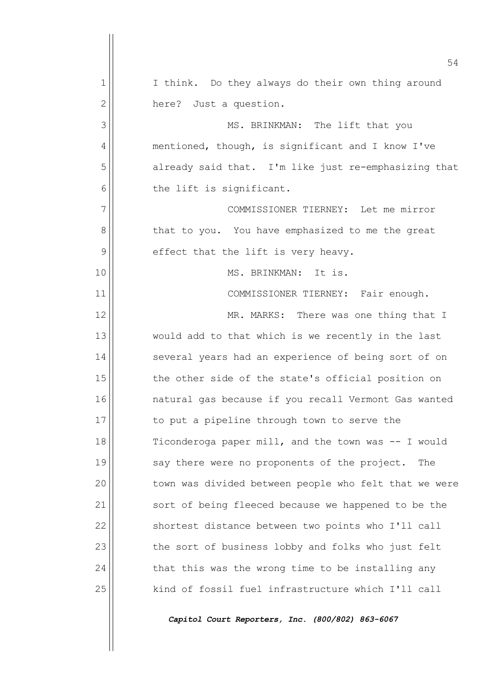|              | 54                                                    |
|--------------|-------------------------------------------------------|
| 1            | I think. Do they always do their own thing around     |
| $\mathbf{2}$ | here? Just a question.                                |
| 3            | MS. BRINKMAN: The lift that you                       |
| 4            | mentioned, though, is significant and I know I've     |
| 5            | already said that. I'm like just re-emphasizing that  |
| 6            | the lift is significant.                              |
| 7            | COMMISSIONER TIERNEY: Let me mirror                   |
| 8            | that to you. You have emphasized to me the great      |
| 9            | effect that the lift is very heavy.                   |
| 10           | MS. BRINKMAN:<br>It is.                               |
| 11           | COMMISSIONER TIERNEY: Fair enough.                    |
| 12           | MR. MARKS: There was one thing that I                 |
| 13           | would add to that which is we recently in the last    |
| 14           | several years had an experience of being sort of on   |
| 15           | the other side of the state's official position on    |
| 16           | natural gas because if you recall Vermont Gas wanted  |
| 17           | to put a pipeline through town to serve the           |
| 18           | Ticonderoga paper mill, and the town was -- I would   |
| 19           | say there were no proponents of the project.<br>The   |
| 20           | town was divided between people who felt that we were |
| 21           | sort of being fleeced because we happened to be the   |
| 22           | shortest distance between two points who I'll call    |
| 23           | the sort of business lobby and folks who just felt    |
| 24           | that this was the wrong time to be installing any     |
| 25           | kind of fossil fuel infrastructure which I'll call    |
|              |                                                       |

*Capitol Court Reporters, Inc. (800/802) 863-6067*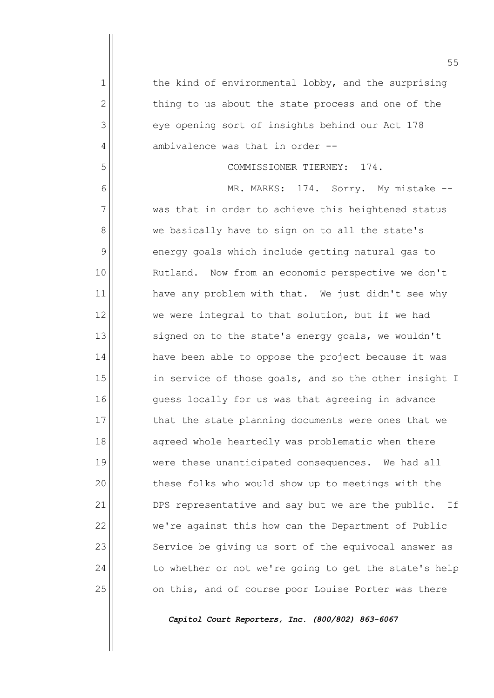|              | 55                                                    |
|--------------|-------------------------------------------------------|
| 1            | the kind of environmental lobby, and the surprising   |
| $\mathbf{2}$ | thing to us about the state process and one of the    |
| 3            | eye opening sort of insights behind our Act 178       |
| 4            | ambivalence was that in order --                      |
| 5            | COMMISSIONER TIERNEY: 174.                            |
| 6            | MR. MARKS: 174. Sorry. My mistake --                  |
| 7            | was that in order to achieve this heightened status   |
| 8            | we basically have to sign on to all the state's       |
| 9            | energy goals which include getting natural gas to     |
| 10           | Rutland. Now from an economic perspective we don't    |
| 11           | have any problem with that. We just didn't see why    |
| 12           | we were integral to that solution, but if we had      |
| 13           | signed on to the state's energy goals, we wouldn't    |
| 14           | have been able to oppose the project because it was   |
| 15           | in service of those goals, and so the other insight I |
| 16           | guess locally for us was that agreeing in advance     |
| 17           | that the state planning documents were ones that we   |
| 18           | agreed whole heartedly was problematic when there     |
| 19           | were these unanticipated consequences. We had all     |
| 20           | these folks who would show up to meetings with the    |
| 21           | DPS representative and say but we are the public. If  |
| 22           | we're against this how can the Department of Public   |
| 23           | Service be giving us sort of the equivocal answer as  |
| 24           | to whether or not we're going to get the state's help |
| 25           | on this, and of course poor Louise Porter was there   |
|              |                                                       |

*Capitol Court Reporters, Inc. (800/802) 863-6067*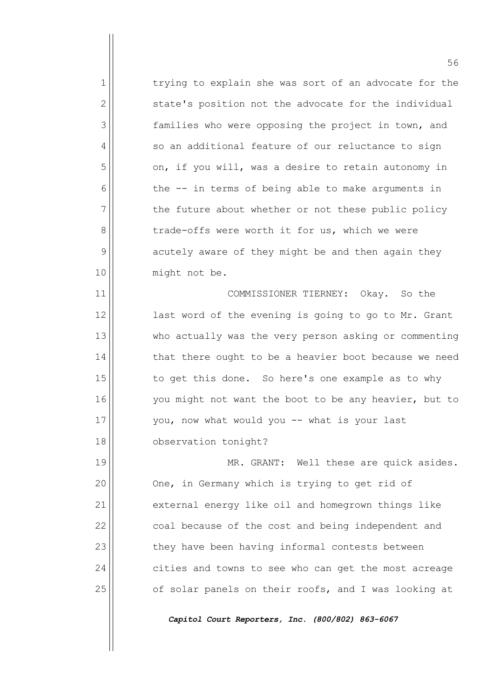1 1 trying to explain she was sort of an advocate for the state's position not the advocate for the individual  $\vert$  families who were opposing the project in town, and  $4 \parallel$  so an additional feature of our reluctance to sign on, if you will, was a desire to retain autonomy in the -- in terms of being able to make arguments in the future about whether or not these public policy trade-offs were worth it for us, which we were acutely aware of they might be and then again they 10 || might not be. 11 || COMMISSIONER TIERNEY: Okay. So the

12 || last word of the evening is going to go to Mr. Grant 13 who actually was the very person asking or commenting  $14$  that there ought to be a heavier boot because we need  $15$  to get this done. So here's one example as to why 16 || vou might not want the boot to be any heavier, but to  $17$   $|$  you, now what would you  $-$  what is your last 18 observation tonight?

19 || MR. GRANT: Well these are quick asides. 20 | One, in Germany which is trying to get rid of 21 external energy like oil and homegrown things like 22 coal because of the cost and being independent and  $23$  they have been having informal contests between 24 cities and towns to see who can get the most acreage 25 | cf solar panels on their roofs, and I was looking at

*Capitol Court Reporters, Inc. (800/802) 863-6067*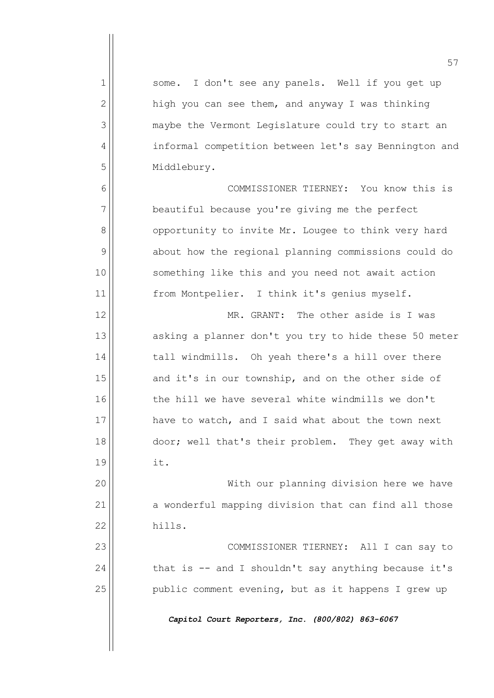57 1 Some. I don't see any panels. Well if you get up  $2 \parallel$  high you can see them, and anyway I was thinking 3 maybe the Vermont Legislature could try to start an 4 | informal competition between let's say Bennington and 5 | Middlebury. 6 COMMISSIONER TIERNEY: You know this is  $7$  beautiful because you're giving me the perfect 8 | opportunity to invite Mr. Lougee to think very hard 9 about how the regional planning commissions could do 10 || something like this and you need not await action 11 || from Montpelier. I think it's genius myself. 12 MR. GRANT: The other aside is I was 13 asking a planner don't you try to hide these 50 meter 14 tall windmills. Oh yeah there's a hill over there  $15$  and it's in our township, and on the other side of 16 the hill we have several white windmills we don't 17 have to watch, and I said what about the town next 18 door; well that's their problem. They get away with  $19$   $\parallel$  it. 20 With our planning division here we have 21 a wonderful mapping division that can find all those 22 hills. 23 || COMMISSIONER TIERNEY: All I can say to  $24$  that is -- and I shouldn't say anything because it's  $25$  public comment evening, but as it happens I grew up *Capitol Court Reporters, Inc. (800/802) 863-6067*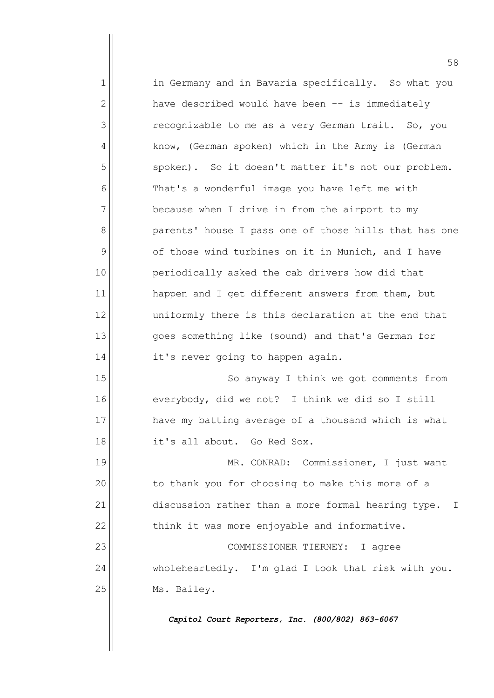1 1 in Germany and in Bavaria specifically. So what you  $2$  have described would have been  $-$  is immediately 3 | The recognizable to me as a very German trait. So, you 4 | know, (German spoken) which in the Army is (German 5 | spoken). So it doesn't matter it's not our problem.  $6$  That's a wonderful image you have left me with  $7$  because when I drive in from the airport to my 8 parents' house I pass one of those hills that has one  $9$  of those wind turbines on it in Munich, and I have 10 | periodically asked the cab drivers how did that 11 | happen and I get different answers from them, but 12 uniformly there is this declaration at the end that 13 goes something like (sound) and that's German for  $14$  it's never going to happen again. 15 || So anyway I think we got comments from 16 everybody, did we not? I think we did so I still 17 have my batting average of a thousand which is what 18 it's all about. Go Red Sox. 19 || MR. CONRAD: Commissioner, I just want 20 | to thank you for choosing to make this more of a 21 discussion rather than a more formal hearing type. I  $22$   $\vert$  think it was more enjoyable and informative.

23 || COMMISSIONER TIERNEY: I agree 24 wholeheartedly. I'm glad I took that risk with you. 25 | Ms. Bailey.

*Capitol Court Reporters, Inc. (800/802) 863-6067*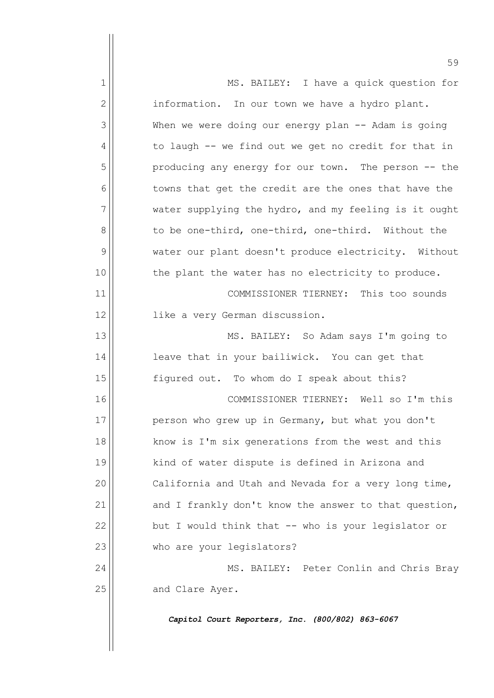|              | 59                                                    |
|--------------|-------------------------------------------------------|
| 1            | MS. BAILEY: I have a quick question for               |
| $\mathbf{2}$ | information. In our town we have a hydro plant.       |
| 3            | When we were doing our energy plan -- Adam is going   |
| 4            | to laugh -- we find out we get no credit for that in  |
| 5            | producing any energy for our town. The person -- the  |
| 6            | towns that get the credit are the ones that have the  |
| 7            | water supplying the hydro, and my feeling is it ought |
| 8            | to be one-third, one-third, one-third. Without the    |
| 9            | water our plant doesn't produce electricity. Without  |
| 10           | the plant the water has no electricity to produce.    |
| 11           | COMMISSIONER TIERNEY: This too sounds                 |
| 12           | like a very German discussion.                        |
| 13           | MS. BAILEY: So Adam says I'm going to                 |
| 14           | leave that in your bailiwick. You can get that        |
| 15           | figured out. To whom do I speak about this?           |
| 16           | COMMISSIONER TIERNEY: Well so I'm this                |
| 17           | person who grew up in Germany, but what you don't     |
| 18           | know is I'm six generations from the west and this    |
| 19           | kind of water dispute is defined in Arizona and       |
| 20           | California and Utah and Nevada for a very long time,  |
| 21           | and I frankly don't know the answer to that question, |
| 22           | but I would think that -- who is your legislator or   |
| 23           | who are your legislators?                             |
| 24           | MS. BAILEY: Peter Conlin and Chris Bray               |
| 25           | and Clare Ayer.                                       |
|              | Capitol Court Reporters, Inc. (800/802) 863-6067      |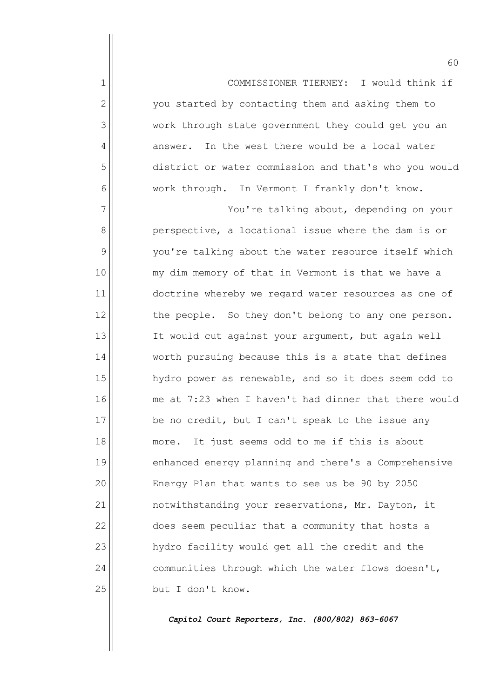1 COMMISSIONER TIERNEY: I would think if 2 | vou started by contacting them and asking them to 3 work through state government they could get you an  $4$  answer. In the west there would be a local water 5 district or water commission and that's who you would 6 work through. In Vermont I frankly don't know. 7 | You're talking about, depending on your 8 | perspective, a locational issue where the dam is or 9 | you're talking about the water resource itself which 10 || my dim memory of that in Vermont is that we have a 11 doctrine whereby we regard water resources as one of  $12$  the people. So they don't belong to any one person. 13 || It would cut against your argument, but again well 14 worth pursuing because this is a state that defines 15  $\parallel$  hydro power as renewable, and so it does seem odd to 16 me at 7:23 when I haven't had dinner that there would  $17$  be no credit, but I can't speak to the issue any 18 || more. It just seems odd to me if this is about 19 || enhanced energy planning and there's a Comprehensive 20 | Energy Plan that wants to see us be 90 by 2050 21 | notwithstanding your reservations, Mr. Dayton, it 22 does seem peculiar that a community that hosts a 23 | hydro facility would get all the credit and the  $24$  communities through which the water flows doesn't, 25 | but I don't know.

*Capitol Court Reporters, Inc. (800/802) 863-6067*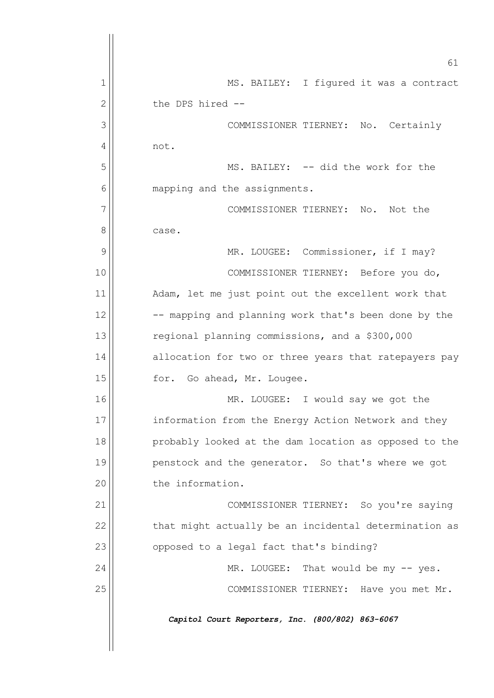|    | 61                                                    |
|----|-------------------------------------------------------|
| 1  | MS. BAILEY: I figured it was a contract               |
| 2  | the DPS hired --                                      |
| 3  | COMMISSIONER TIERNEY: No. Certainly                   |
| 4  | not.                                                  |
| 5  | MS. BAILEY: -- did the work for the                   |
| 6  | mapping and the assignments.                          |
| 7  | COMMISSIONER TIERNEY:<br>Not the<br>No.               |
| 8  | case.                                                 |
| 9  | MR. LOUGEE: Commissioner, if I may?                   |
| 10 | COMMISSIONER TIERNEY: Before you do,                  |
| 11 | Adam, let me just point out the excellent work that   |
| 12 | -- mapping and planning work that's been done by the  |
| 13 | regional planning commissions, and a \$300,000        |
| 14 | allocation for two or three years that ratepayers pay |
| 15 | for.<br>Go ahead, Mr. Lougee.                         |
| 16 | MR. LOUGEE: I would say we got the                    |
| 17 | information from the Energy Action Network and they   |
| 18 | probably looked at the dam location as opposed to the |
| 19 | penstock and the generator. So that's where we got    |
| 20 | the information.                                      |
| 21 | COMMISSIONER TIERNEY: So you're saying                |
| 22 | that might actually be an incidental determination as |
| 23 | opposed to a legal fact that's binding?               |
| 24 | MR. LOUGEE: That would be my -- yes.                  |
| 25 | COMMISSIONER TIERNEY: Have you met Mr.                |
|    | Capitol Court Reporters, Inc. (800/802) 863-6067      |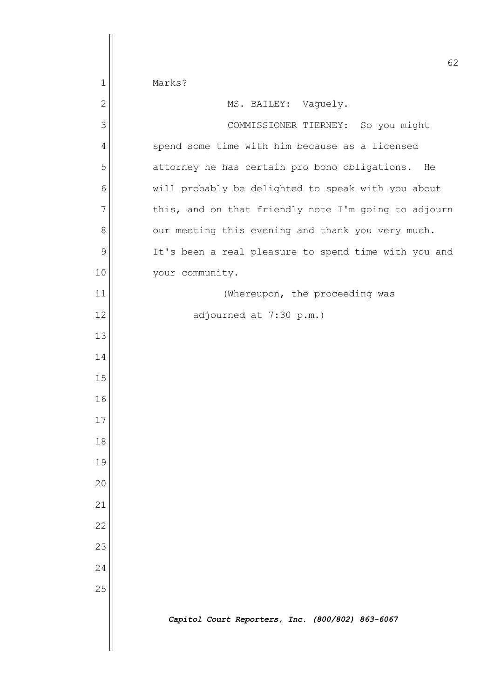|                | 62                                                   |
|----------------|------------------------------------------------------|
| $\mathbf{1}$   | Marks?                                               |
| $\overline{2}$ | MS. BAILEY: Vaguely.                                 |
| 3              | COMMISSIONER TIERNEY: So you might                   |
| $\overline{4}$ | spend some time with him because as a licensed       |
| 5              | attorney he has certain pro bono obligations.<br>He  |
| 6              | will probably be delighted to speak with you about   |
| $\overline{7}$ | this, and on that friendly note I'm going to adjourn |
| 8              | our meeting this evening and thank you very much.    |
| 9              | It's been a real pleasure to spend time with you and |
| 10             | your community.                                      |
| 11             | (Whereupon, the proceeding was                       |
| 12             | adjourned at 7:30 p.m.)                              |
| 13             |                                                      |
| 14             |                                                      |
| 15             |                                                      |
| 16             |                                                      |
| 17             |                                                      |
| 18             |                                                      |
| 19             |                                                      |
| 20             |                                                      |
| 21             |                                                      |
| 22             |                                                      |
| 23             |                                                      |
| 24             |                                                      |
| 25             |                                                      |
|                | Capitol Court Reporters, Inc. (800/802) 863-6067     |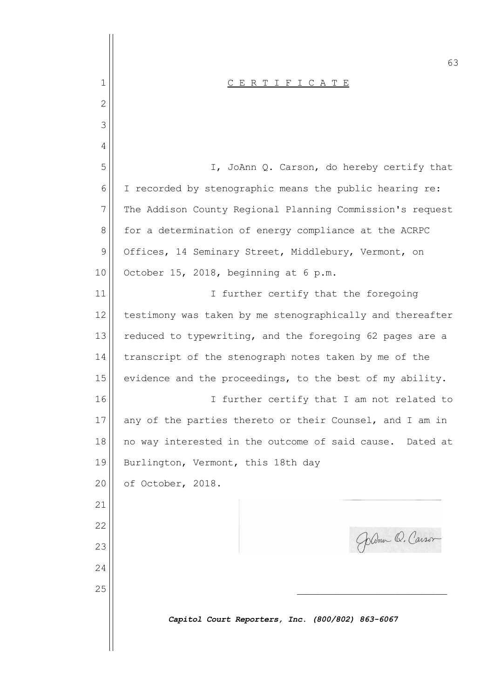